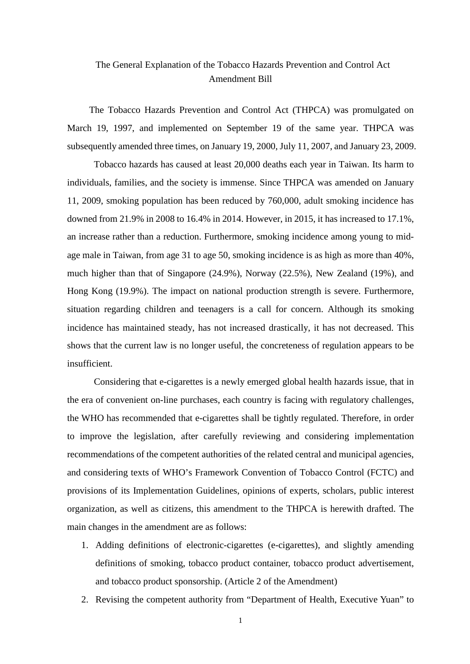## The General Explanation of the Tobacco Hazards Prevention and Control Act Amendment Bill

The Tobacco Hazards Prevention and Control Act (THPCA) was promulgated on March 19, 1997, and implemented on September 19 of the same year. THPCA was subsequently amended three times, on January 19, 2000, July 11, 2007, and January 23, 2009.

Tobacco hazards has caused at least 20,000 deaths each year in Taiwan. Its harm to individuals, families, and the society is immense. Since THPCA was amended on January 11, 2009, smoking population has been reduced by 760,000, adult smoking incidence has downed from 21.9% in 2008 to 16.4% in 2014. However, in 2015, it has increased to 17.1%, an increase rather than a reduction. Furthermore, smoking incidence among young to midage male in Taiwan, from age 31 to age 50, smoking incidence is as high as more than 40%, much higher than that of Singapore (24.9%), Norway (22.5%), New Zealand (19%), and Hong Kong (19.9%). The impact on national production strength is severe. Furthermore, situation regarding children and teenagers is a call for concern. Although its smoking incidence has maintained steady, has not increased drastically, it has not decreased. This shows that the current law is no longer useful, the concreteness of regulation appears to be insufficient.

Considering that e-cigarettes is a newly emerged global health hazards issue, that in the era of convenient on-line purchases, each country is facing with regulatory challenges, the WHO has recommended that e-cigarettes shall be tightly regulated. Therefore, in order to improve the legislation, after carefully reviewing and considering implementation recommendations of the competent authorities of the related central and municipal agencies, and considering texts of WHO's Framework Convention of Tobacco Control (FCTC) and provisions of its Implementation Guidelines, opinions of experts, scholars, public interest organization, as well as citizens, this amendment to the THPCA is herewith drafted. The main changes in the amendment are as follows:

- 1. Adding definitions of electronic-cigarettes (e-cigarettes), and slightly amending definitions of smoking, tobacco product container, tobacco product advertisement, and tobacco product sponsorship. (Article 2 of the Amendment)
- 2. Revising the competent authority from "Department of Health, Executive Yuan" to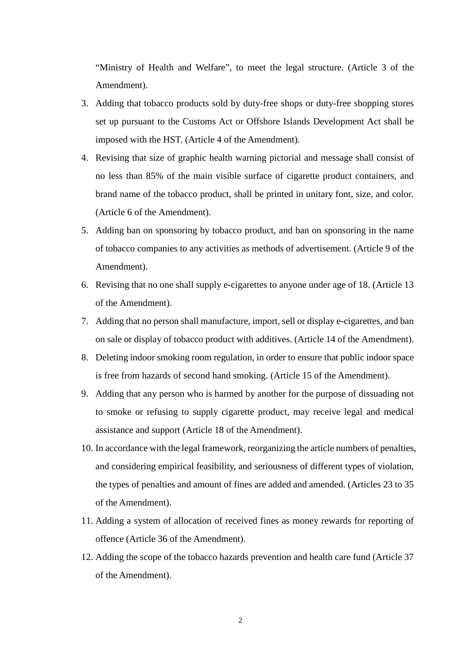"Ministry of Health and Welfare", to meet the legal structure. (Article 3 of the Amendment).

- 3. Adding that tobacco products sold by duty-free shops or duty-free shopping stores set up pursuant to the Customs Act or Offshore Islands Development Act shall be imposed with the HST. (Article 4 of the Amendment).
- 4. Revising that size of graphic health warning pictorial and message shall consist of no less than 85% of the main visible surface of cigarette product containers, and brand name of the tobacco product, shall be printed in unitary font, size, and color. (Article 6 of the Amendment).
- 5. Adding ban on sponsoring by tobacco product, and ban on sponsoring in the name of tobacco companies to any activities as methods of advertisement. (Article 9 of the Amendment).
- 6. Revising that no one shall supply e-cigarettes to anyone under age of 18. (Article 13 of the Amendment).
- 7. Adding that no person shall manufacture, import, sell or display e-cigarettes, and ban on sale or display of tobacco product with additives. (Article 14 of the Amendment).
- 8. Deleting indoor smoking room regulation, in order to ensure that public indoor space is free from hazards of second hand smoking. (Article 15 of the Amendment).
- 9. Adding that any person who is harmed by another for the purpose of dissuading not to smoke or refusing to supply cigarette product, may receive legal and medical assistance and support (Article 18 of the Amendment).
- 10. In accordance with the legal framework, reorganizing the article numbers of penalties, and considering empirical feasibility, and seriousness of different types of violation, the types of penalties and amount of fines are added and amended. (Articles 23 to 35 of the Amendment).
- 11. Adding a system of allocation of received fines as money rewards for reporting of offence (Article 36 of the Amendment).
- 12. Adding the scope of the tobacco hazards prevention and health care fund (Article 37 of the Amendment).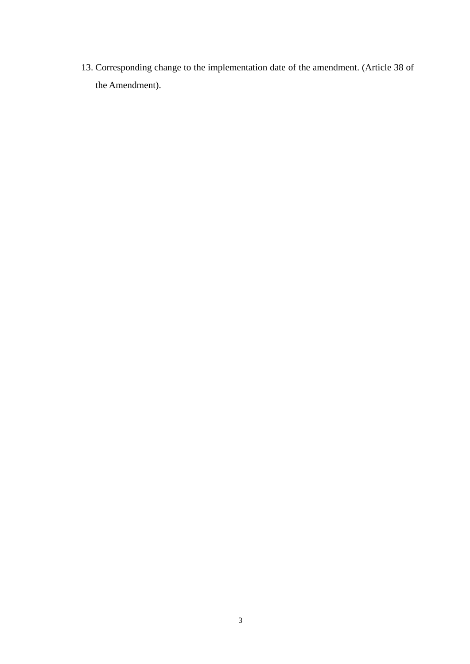13. Corresponding change to the implementation date of the amendment. (Article 38 of the Amendment).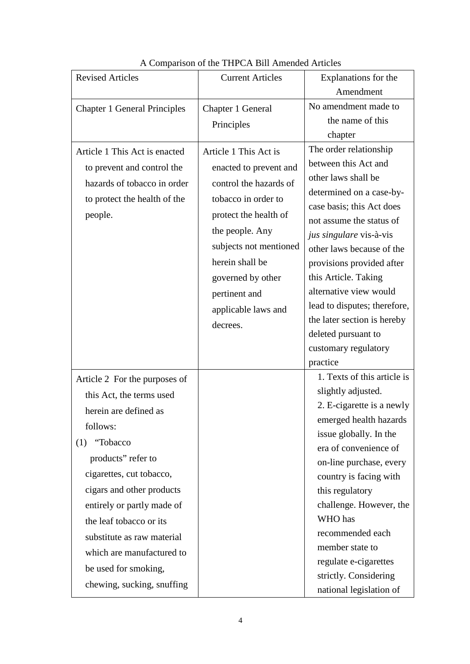| <b>Revised Articles</b>                                     | <b>Current Articles</b> | Explanations for the                           |
|-------------------------------------------------------------|-------------------------|------------------------------------------------|
|                                                             |                         | Amendment                                      |
| <b>Chapter 1 General Principles</b>                         | Chapter 1 General       | No amendment made to                           |
|                                                             | Principles              | the name of this                               |
|                                                             |                         | chapter                                        |
| Article 1 This Act is enacted<br>to prevent and control the | Article 1 This Act is   | The order relationship<br>between this Act and |
|                                                             | enacted to prevent and  | other laws shall be                            |
| hazards of tobacco in order                                 | control the hazards of  | determined on a case-by-                       |
| to protect the health of the                                | tobacco in order to     | case basis; this Act does                      |
| people.                                                     | protect the health of   | not assume the status of                       |
|                                                             | the people. Any         | jus singulare vis-à-vis                        |
|                                                             | subjects not mentioned  | other laws because of the                      |
|                                                             | herein shall be         | provisions provided after                      |
|                                                             | governed by other       | this Article. Taking                           |
|                                                             | pertinent and           | alternative view would                         |
|                                                             | applicable laws and     | lead to disputes; therefore,                   |
|                                                             | decrees.                | the later section is hereby                    |
|                                                             |                         | deleted pursuant to                            |
|                                                             |                         | customary regulatory                           |
|                                                             |                         | practice                                       |
| Article 2 For the purposes of                               |                         | 1. Texts of this article is                    |
| this Act, the terms used                                    |                         | slightly adjusted.                             |
| herein are defined as                                       |                         | 2. E-cigarette is a newly                      |
| follows:                                                    |                         | emerged health hazards                         |
| "Tobacco<br>(1)                                             |                         | issue globally. In the                         |
| products" refer to                                          |                         | era of convenience of                          |
| cigarettes, cut tobacco,                                    |                         | on-line purchase, every                        |
| cigars and other products                                   |                         | country is facing with<br>this regulatory      |
|                                                             |                         | challenge. However, the                        |
| entirely or partly made of<br>the leaf tobacco or its       |                         | WHO has                                        |
|                                                             |                         | recommended each                               |
| substitute as raw material                                  |                         | member state to                                |
| which are manufactured to                                   |                         | regulate e-cigarettes                          |
| be used for smoking,                                        |                         | strictly. Considering                          |
| chewing, sucking, snuffing                                  |                         | national legislation of                        |

## A Comparison of the THPCA Bill Amended Articles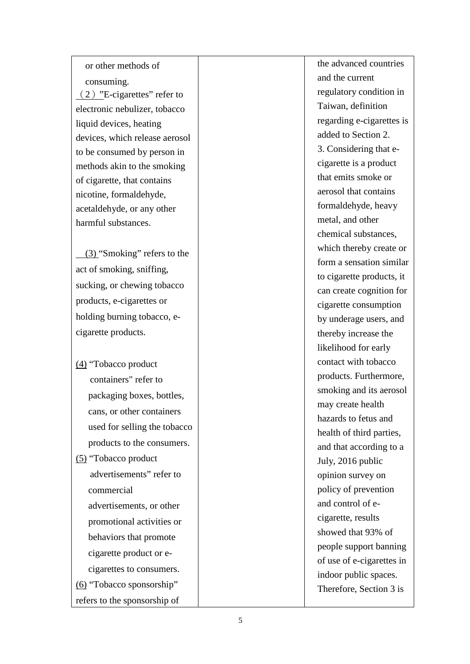or other methods of consuming. (2) "E-cigarettes" refer to electronic nebulizer, tobacco liquid devices, heating devices , which release aerosol to be consumed by person in methods akin to the smoking of cigarette , that contains nicotine, formaldehyde, acetaldehyde, or any other harmful substances .

 (3) "Smoking" refers to the act of smoking, sniffing, sucking, or chewing tobacco products, e -cigarettes or holding burning tobacco, ecigarette products .

(4) "Tobacco product containers" refer to packaging boxes, bottles, cans, or other containers used for selling the tobacco products to the consumers. (5) "Tobacco product advertisements" refer to commercial advertisements, or other promotional activities or behaviors that promote cigarette product or e cigarettes to consumers. (6) "Tobacco sponsorship"

refers to the sponsorship of

the advanced countries and the current regulatory condition in Taiwan, definition regarding e -cigarettes is added to Section 2. 3. Considering that e cigarette is a product that emits smoke or aerosol that contain s formaldehyde, heavy metal, and other chemical substances, which thereby create or form a sensation similar to cigarette products, it can create cognition for cigarette consumption by underage users, and thereby increase the likelihood for early contact with tobacco products. Furthermore, smoking and its aerosol may create health hazards to fetus and health of third parties, and that according to a July, 2016 public opinion survey on policy of prevention and control of e cigarette, results showed that 93% of people support banning of use of e -cigarettes in indoor public space s. Therefore, Section 3 is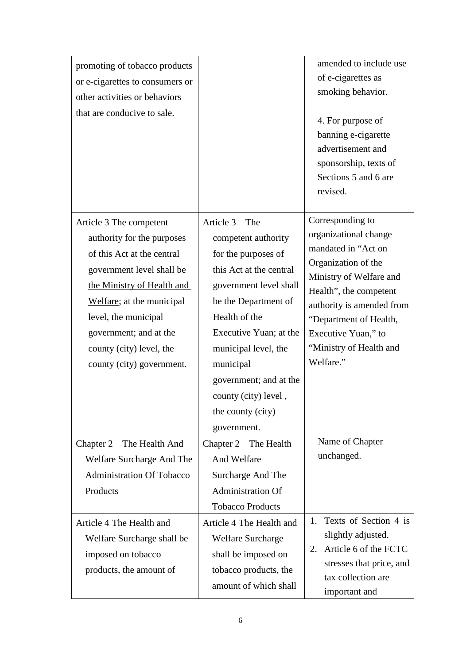| promoting of tobacco products<br>or e-cigarettes to consumers or<br>other activities or behaviors<br>that are conducive to sale.                                                                                                                                                       |                                                                                                                                                                                                                                                                                                                   | amended to include use<br>of e-cigarettes as<br>smoking behavior.<br>4. For purpose of<br>banning e-cigarette<br>advertisement and<br>sponsorship, texts of<br>Sections 5 and 6 are<br>revised.                                                                    |
|----------------------------------------------------------------------------------------------------------------------------------------------------------------------------------------------------------------------------------------------------------------------------------------|-------------------------------------------------------------------------------------------------------------------------------------------------------------------------------------------------------------------------------------------------------------------------------------------------------------------|--------------------------------------------------------------------------------------------------------------------------------------------------------------------------------------------------------------------------------------------------------------------|
| Article 3 The competent<br>authority for the purposes<br>of this Act at the central<br>government level shall be<br>the Ministry of Health and<br>Welfare; at the municipal<br>level, the municipal<br>government; and at the<br>county (city) level, the<br>county (city) government. | Article 3<br>The<br>competent authority<br>for the purposes of<br>this Act at the central<br>government level shall<br>be the Department of<br>Health of the<br>Executive Yuan; at the<br>municipal level, the<br>municipal<br>government; and at the<br>county (city) level,<br>the county (city)<br>government. | Corresponding to<br>organizational change<br>mandated in "Act on<br>Organization of the<br>Ministry of Welfare and<br>Health", the competent<br>authority is amended from<br>"Department of Health,<br>Executive Yuan," to<br>"Ministry of Health and<br>Welfare." |
| Chapter 2<br>The Health And<br>Welfare Surcharge And The<br><b>Administration Of Tobacco</b><br>Products                                                                                                                                                                               | Chapter 2<br>The Health<br>And Welfare<br>Surcharge And The<br><b>Administration Of</b><br><b>Tobacco Products</b>                                                                                                                                                                                                | Name of Chapter<br>unchanged.                                                                                                                                                                                                                                      |
| Article 4 The Health and<br>Welfare Surcharge shall be<br>imposed on tobacco<br>products, the amount of                                                                                                                                                                                | Article 4 The Health and<br><b>Welfare Surcharge</b><br>shall be imposed on<br>tobacco products, the<br>amount of which shall                                                                                                                                                                                     | Texts of Section 4 is<br>1.<br>slightly adjusted.<br>Article 6 of the FCTC<br>2.<br>stresses that price, and<br>tax collection are<br>important and                                                                                                                |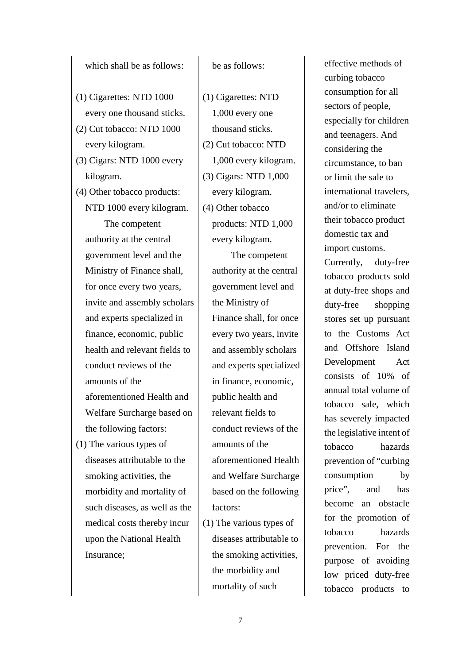## which shall be as follows: (1) Cigarettes: NTD 1000 every one thousand sticks. (2) Cut tobacco: NTD 1000 every kilogram. (3) Cigars: NTD 1000 every kilogram. (4) Other tobacco products: NTD 1000 every kilogram. The competent authority at the central government level and the Ministry of Finance shall, for once every two years, invite and assembly scholars and experts specialized in finance, economic, public health and relevant fields to conduct reviews of the amounts of the aforementioned Health and Welfare Surcharge based on the following factors: (1) The various types of diseases attributable to the smoking activities, the morbidity and mortality of such diseases, as well as the medical costs thereby incur upon the National Health Insurance;

## be as follows:

(1) Cigarettes: NTD 1,000 every one thousand sticks. (2) Cut tobacco: NTD 1,000 every kilogram. (3) Cigars: NTD 1,000 every kilogram. (4) Other tobacco products: NTD 1,000 every kilogram.

 The competent authority at the central government level and the Ministry of Finance shall, for once every two years, invite and assembly scholars and experts specialized in finance, economic, public health and relevant fields to conduct reviews of the amounts of the aforementioned Health and Welfare Surcharge based on the following factors:

(1) The various types of diseases attributable to the smoking activities, the morbidity and mortality of such

effective methods of curbing tobacco consumption for all sectors of people, especially for children and teenagers. And considering the circumstance, to ban or limit the sale to international travelers, and/or to eliminate their tobacco product domestic tax and import customs. Currently, duty-free tobacco products sold at duty-free shops and duty-free shopping stores set up pursuant to the Customs Act and Offshore Island Development Act consists of 10% of annual total volume of tobacco sale, which has severely impacted the legislative intent of tobacco hazards prevention of "curbing consumption by price", and has become an obstacle for the promotion of tobacco hazards prevention. For the purpose of avoiding low priced duty-free tobacco products to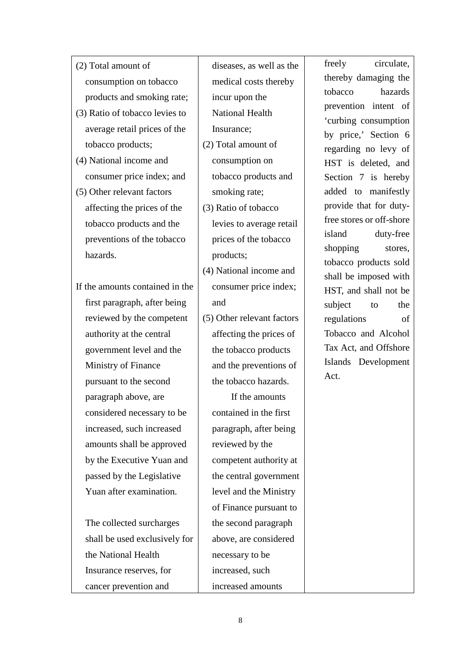- (2) Total amount of consumption on tobacco products and smoking rate;
- (3) Ratio of tobacco levies to average retail prices of the tobacco products;
- (4) National income and consumer price index; and
- (5) Other relevant factors affecting the prices of the tobacco products and the preventions of the tobacco hazards.
- If the amounts contained in the first paragraph, after being reviewed by the competent authority at the central government level and the Ministry of Finance pursuant to the second paragraph above, are considered necessary to be increased, such increased amounts shall be approved by the Executive Yuan and passed by the Legislative Yuan after examination.
	- The collected surcharges shall be used exclusively for the National Health Insurance reserves, for cancer prevention and

diseases, as well as the medical costs thereby incur upon the National Health Insurance;

- (2) Total amount of consumption on tobacco products and smoking rate;
- (3) Ratio of tobacco levies to average retail prices of the tobacco products;
- (4) National income and consumer price index; and
- (5) Other relevant factors affecting the prices of the tobacco products and the preventions of the tobacco hazards.

 If the amounts contained in the first paragraph, after being reviewed by the competent authority at the central government level and the Ministry of Finance pursuant to the second paragraph above, are considered necessary to be increased, such increased amounts

freely circulate, thereby damaging the tobacco hazards prevention intent of 'curbing consumption by price,' Section 6 regarding no levy of HST is deleted, and Section 7 is hereby added to manifestly provide that for dutyfree stores or off-shore island duty-free shopping stores, tobacco products sold shall be imposed with HST, and shall not be subject to the regulations of Tobacco and Alcohol Tax Act, and Offshore Islands Development Act.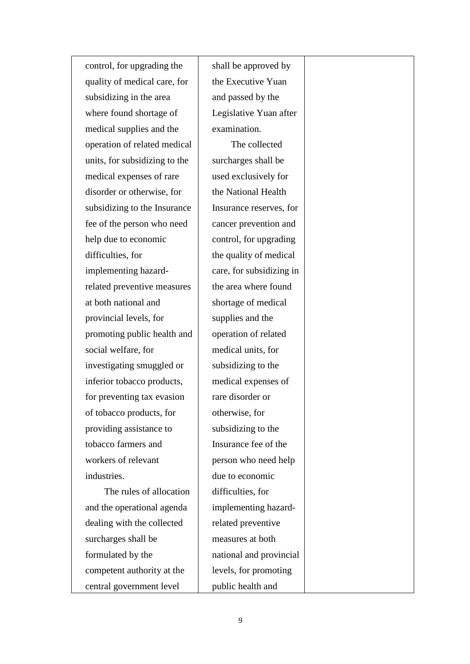control, for upgrading the quality of medical care, for subsidizing in the area where found shortage of medical supplies and the operation of related medical units, for subsidizing to the medical expenses of rare disorder or otherwise, for subsidizing to the Insurance fee of the person who need help due to economic difficulties, for implementing hazardrelated preventive measures at both national and provincial levels, for promoting public health and social welfare, for investigating smuggled or inferior tobacco products, for preventing tax evasion of tobacco products, for providing assistance to tobacco farmers and workers of relevant industries. The rules of allocation

and the operational agenda dealing with the collected surcharges shall be formulated by the competent authority at the central government level

shall be approved by the Executive Yuan and passed by the Legislative Yuan after examination.

 The collected surcharges shall be used exclusively for the National Health Insurance reserves, for cancer prevention and control, for upgrading the quality of medical care, for subsidizing in the area where found shortage of medical supplies and the operation of related medical units, for subsidizing to the medical expenses of rare disorder or otherwise, for subsidizing to the Insurance fee of the person who need help due to economic difficulties, for implementing hazardrelated preventive measures at both national and provincial levels, for promoting public health and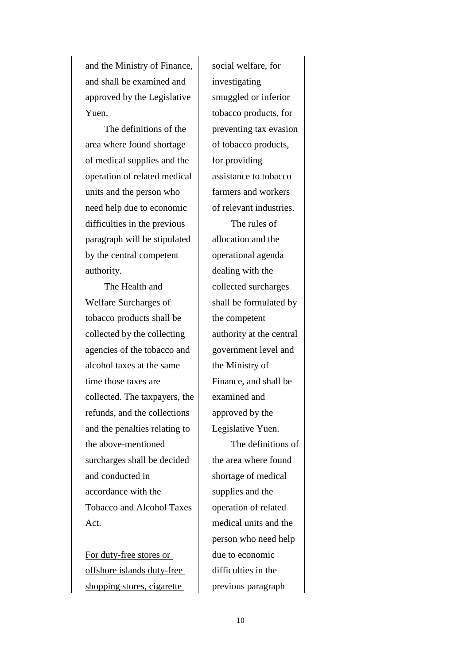and the Ministry of Finance, and shall be examined and approved by the Legislative Yuen.

 The definitions of the area where found shortage of medical supplies and the operation of related medical units and the person who need help due to economic difficulties in the previous paragraph will be stipulated by the central competent authority.

The Health and Welfare Surcharges of tobacco products shall be collected by the collecting agencies of the tobacco and alcohol taxes at the same time those taxes are collected. The taxpayers, the refunds, and the collections and the penalties relating to the above-mentioned surcharges shall be decided and conducted in accordance with the Tobacco and Alcohol Taxes Act.

For duty-free stores or offshore islands duty-free shopping stores, cigarette

social welfare, for investigating smuggled or inferior tobacco products, for preventing tax evasion of tobacco products, for providing assistance to tobacco farmers and workers of relevant industries. The rules of allocation and the operational agenda dealing with the collected surcharges shall be formulated by the competent authority at the central government level and the Ministry of Finance, and shall be examined and approved by the Legislative Yuen. The definitions of the area where found shortage of medical supplies and the operation of related medical units and the person who need help due to economic

10

difficulties in the

previous paragraph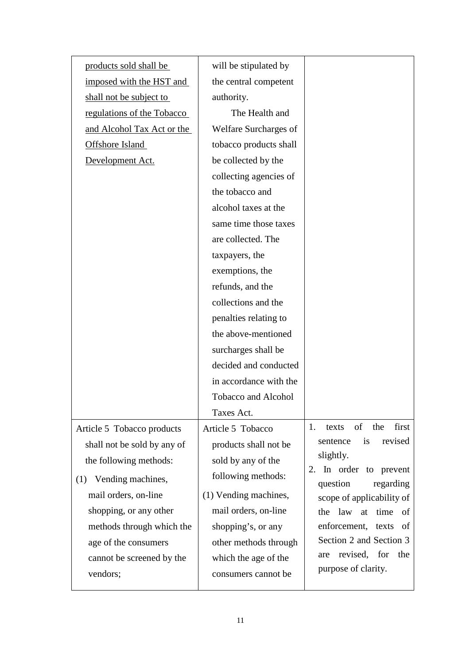| products sold shall be      | will be stipulated by      |                                                    |
|-----------------------------|----------------------------|----------------------------------------------------|
| imposed with the HST and    | the central competent      |                                                    |
| shall not be subject to     | authority.                 |                                                    |
| regulations of the Tobacco  | The Health and             |                                                    |
| and Alcohol Tax Act or the  | Welfare Surcharges of      |                                                    |
| Offshore Island             | tobacco products shall     |                                                    |
| Development Act.            | be collected by the        |                                                    |
|                             | collecting agencies of     |                                                    |
|                             | the tobacco and            |                                                    |
|                             | alcohol taxes at the       |                                                    |
|                             | same time those taxes      |                                                    |
|                             | are collected. The         |                                                    |
|                             | taxpayers, the             |                                                    |
|                             | exemptions, the            |                                                    |
|                             | refunds, and the           |                                                    |
|                             | collections and the        |                                                    |
|                             | penalties relating to      |                                                    |
|                             | the above-mentioned        |                                                    |
|                             | surcharges shall be        |                                                    |
|                             | decided and conducted      |                                                    |
|                             | in accordance with the     |                                                    |
|                             | <b>Tobacco and Alcohol</b> |                                                    |
|                             | Taxes Act.                 |                                                    |
| Article 5 Tobacco products  | Article 5 Tobacco          | of the<br>first<br>1.<br>texts                     |
| shall not be sold by any of | products shall not be      | is<br>revised<br>sentence                          |
| the following methods:      | sold by any of the         | slightly.                                          |
| (1) Vending machines,       | following methods:         | In order to prevent<br>2.<br>question<br>regarding |
| mail orders, on-line        | (1) Vending machines,      | scope of applicability of                          |
| shopping, or any other      | mail orders, on-line       | the law at time of                                 |
| methods through which the   | shopping's, or any         | enforcement, texts<br>- of                         |
| age of the consumers        | other methods through      | Section 2 and Section 3                            |
| cannot be screened by the   | which the age of the       | revised, for<br>the<br>are                         |
| vendors;                    | consumers cannot be        | purpose of clarity.                                |
|                             |                            |                                                    |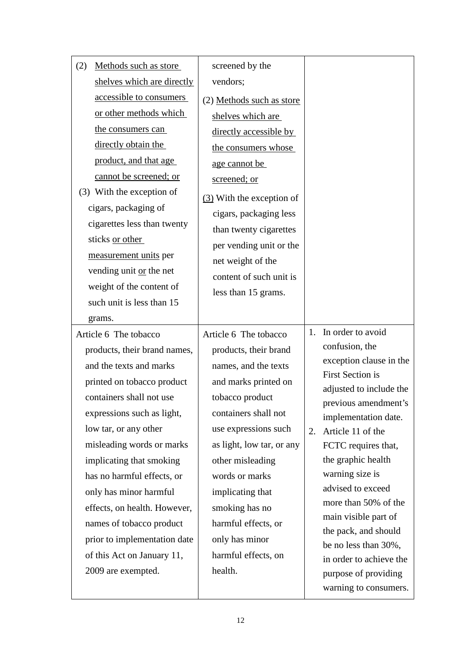| Methods such as store<br>(2) | screened by the           |    |                                              |
|------------------------------|---------------------------|----|----------------------------------------------|
| shelves which are directly   | vendors;                  |    |                                              |
| accessible to consumers      | (2) Methods such as store |    |                                              |
| or other methods which       | shelves which are         |    |                                              |
| the consumers can            | directly accessible by    |    |                                              |
| directly obtain the          | the consumers whose       |    |                                              |
| product, and that age        | age cannot be             |    |                                              |
| cannot be screened; or       | screened; or              |    |                                              |
| (3) With the exception of    | (3) With the exception of |    |                                              |
| cigars, packaging of         | cigars, packaging less    |    |                                              |
| cigarettes less than twenty  | than twenty cigarettes    |    |                                              |
| sticks or other              | per vending unit or the   |    |                                              |
| measurement units per        | net weight of the         |    |                                              |
| vending unit or the net      | content of such unit is   |    |                                              |
| weight of the content of     | less than 15 grams.       |    |                                              |
| such unit is less than 15    |                           |    |                                              |
| grams.                       |                           |    |                                              |
|                              |                           |    | 1. In order to avoid                         |
| Article 6 The tobacco        | Article 6 The tobacco     |    |                                              |
| products, their brand names, | products, their brand     |    | confusion, the                               |
| and the texts and marks      | names, and the texts      |    | exception clause in the                      |
| printed on tobacco product   | and marks printed on      |    | <b>First Section is</b>                      |
| containers shall not use     | tobacco product           |    | adjusted to include the                      |
| expressions such as light,   | containers shall not      |    | previous amendment's<br>implementation date. |
| low tar, or any other        | use expressions such      | 2. | Article 11 of the                            |
| misleading words or marks    | as light, low tar, or any |    | FCTC requires that,                          |
| implicating that smoking     | other misleading          |    | the graphic health                           |
| has no harmful effects, or   | words or marks            |    | warning size is                              |
| only has minor harmful       | implicating that          |    | advised to exceed                            |
| effects, on health. However, | smoking has no            |    | more than 50% of the                         |
| names of tobacco product     | harmful effects, or       |    | main visible part of                         |
| prior to implementation date | only has minor            |    | the pack, and should<br>be no less than 30%, |
| of this Act on January 11,   | harmful effects, on       |    | in order to achieve the                      |
| 2009 are exempted.           | health.                   |    | purpose of providing                         |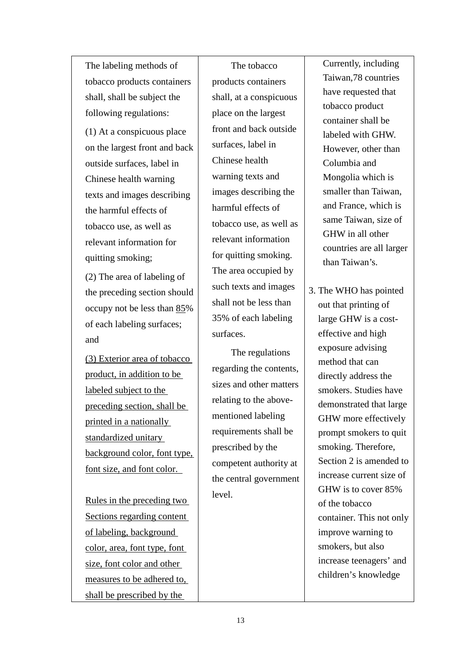The labeling methods of tobacco products containers shall, shall be subject the following regulations:

(1) At a conspicuous place on the largest front and back outside surfaces, label in Chinese health warning texts and images describing the harmful effects of tobacco use, as well as relevant information for quitting smoking;

 (2) The area of labeling of the preceding section should occupy not be less than 85% of each labeling surfaces; and

(3) Exterior area of tobacco product, in addition to be labeled subject to the preceding section, shall be printed in a nationally standardized unitary background color, font type, font size, and font color.

Rules in the preceding two Sections regarding content of labeling, background color, area, font type, font size, font color and other measures to be adhered to, shall be prescribed by the

 The tobacco products containers shall, at a conspicuous place on the largest front and back outside surfaces, label in Chinese health warning texts and images describing the harmful effects of tobacco use, as well as relevant information for quitting smoking. The area occupied by such texts and images shall not be less than 35% of each labeling surfaces.

The regulations regarding the contents, sizes and other matters relating to the abovementioned labeling requirements shall be prescribed by the competent authority at the central government level.

Currently, including Taiwan,78 countries have requested that tobacco product container shall be labeled with GHW. However, other than Columbia and Mongolia which is smaller than Taiwan, and France, which is same Taiwan, size of GHW in all other countries are all larger than Taiwan's.

3. The WHO has pointed out that printing of large GHW is a costeffective and high exposure advising method that can directly address the smokers. Studies have demonstrated that large GHW more effectively prompt smokers to quit smoking. Therefore, Section 2 is amended to increase current size of GHW is to cover 85% of the tobacco container. This not only improve warning to smokers, but also increase teenagers' and children's knowledge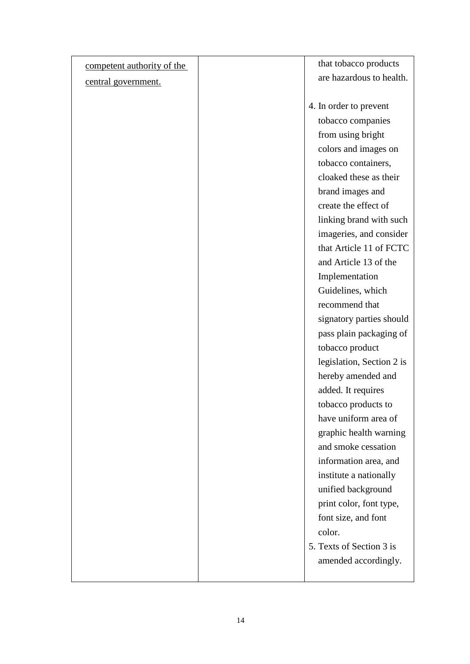| competent authority of the | that tobacco products     |
|----------------------------|---------------------------|
| central government.        | are hazardous to health.  |
|                            |                           |
|                            | 4. In order to prevent    |
|                            | tobacco companies         |
|                            | from using bright         |
|                            | colors and images on      |
|                            | tobacco containers,       |
|                            | cloaked these as their    |
|                            | brand images and          |
|                            | create the effect of      |
|                            | linking brand with such   |
|                            | imageries, and consider   |
|                            | that Article 11 of FCTC   |
|                            | and Article 13 of the     |
|                            | Implementation            |
|                            | Guidelines, which         |
|                            | recommend that            |
|                            | signatory parties should  |
|                            | pass plain packaging of   |
|                            | tobacco product           |
|                            | legislation, Section 2 is |
|                            | hereby amended and        |
|                            | added. It requires        |
|                            | tobacco products to       |
|                            | have uniform area of      |
|                            | graphic health warning    |
|                            | and smoke cessation       |
|                            | information area, and     |
|                            | institute a nationally    |
|                            | unified background        |
|                            | print color, font type,   |
|                            | font size, and font       |
|                            | color.                    |
|                            | 5. Texts of Section 3 is  |
|                            | amended accordingly.      |
|                            |                           |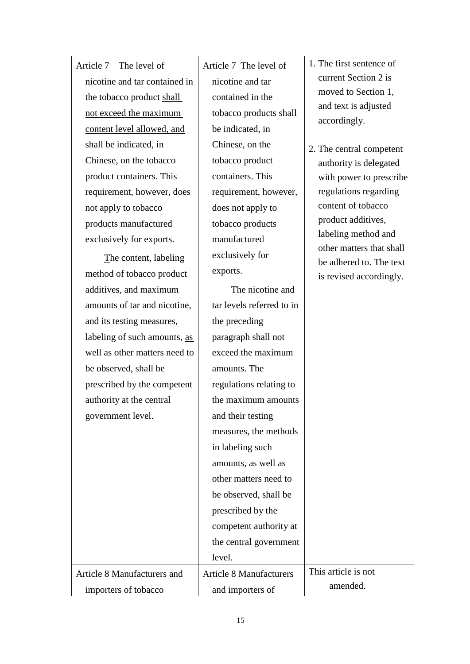| Article 7 The level of        |
|-------------------------------|
| nicotine and tar contained in |
| the tobacco product shall     |
| not exceed the maximum        |
| content level allowed, and    |
| shall be indicated, in        |
| Chinese, on the tobacco       |
| product containers. This      |
| requirement, however, does    |
| not apply to tobacco          |
| products manufactured         |
| exclusively for exports.      |
|                               |

The content, labeling method of tobacco product additives, and maximum amounts of tar and nicotine, and its testing measures, labeling of such amounts, as well as other matters need to be observed, shall be prescribed by the competent authority at the central government level.

Article 8 Manufacturers and

importers of tobacco

Article 7 The level of nicotine and tar contained in the tobacco products shall be indicated, in Chinese, on the tobacco product containers. This requirement, however, does not apply to tobacco products manufactured exclusively for exports.

The nicotine and tar levels referred to in the preceding paragraph shall not exceed the maximum amounts. The regulations relating to the maximum amounts and their testing measures, the methods in labeling such amounts, as well as other matters need to be observed, shall be prescribed by the competent authority at the central government level. other matters that shall be adhered to. The text is revised accordingly. Article 8 Manufacturers This article is not

amended.

1. The first sentence of current Section 2 is moved to Section 1, and text is adjusted accordingly.

2. The central competent authority is delegated with power to prescribe regulations regarding content of tobacco product additives, labeling method and

and importers of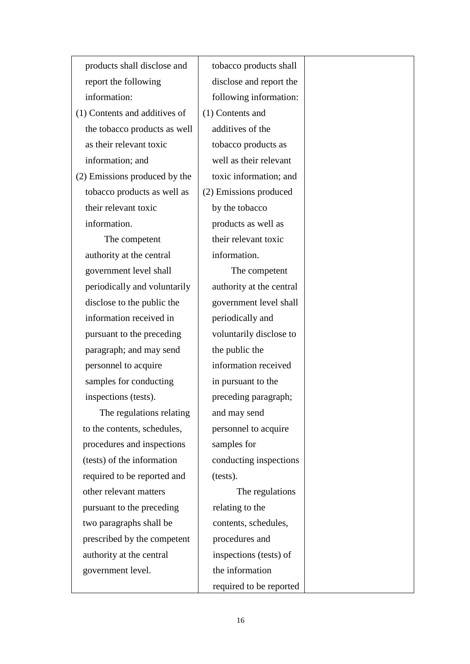products shall disclose and report the following information:

(1) Contents and additives of the tobacco products as well as their relevant toxic information; and

(2) Emissions produced by the tobacco products as well as their relevant toxic information.

 The competent authority at the central government level shall periodically and voluntarily disclose to the public the information received in pursuant to the preceding paragraph; and may send personnel to acquire samples for conducting inspections (tests).

 The regulations relating to the contents, schedules, procedures and inspections (tests) of the information required to be reported and other relevant matters pursuant to the preceding two paragraphs shall be prescribed by the competent authority at the central government level.

tobacco products shall disclose and report the following information: (1) Contents and additives of the tobacco products as well as their relevant toxic information; and (2) Emissions produced by the tobacco products as well as their relevant toxic information. The competent

authority at the central government level shall periodically and voluntarily disclose to the public the information received in pursuant to the preceding paragraph; and may send personnel to acquire samples for conducting inspections (tests).

 The regulations relating to the contents, schedules, procedures and inspections (tests) of the information required to be reported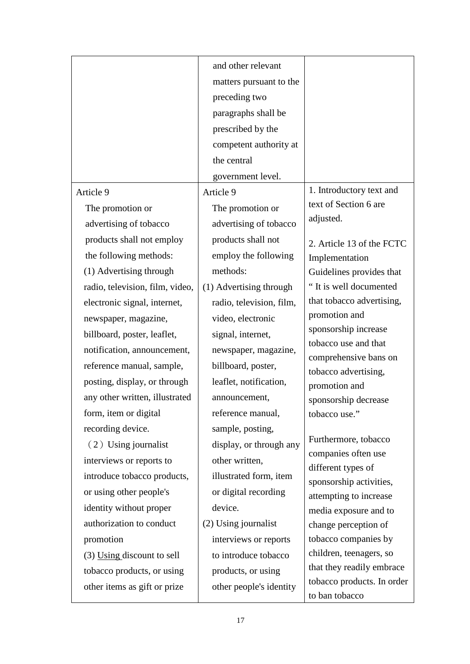|                                 | and other relevant       |                                               |
|---------------------------------|--------------------------|-----------------------------------------------|
|                                 | matters pursuant to the  |                                               |
|                                 | preceding two            |                                               |
|                                 | paragraphs shall be      |                                               |
|                                 | prescribed by the        |                                               |
|                                 | competent authority at   |                                               |
|                                 | the central              |                                               |
|                                 | government level.        |                                               |
| Article 9                       | Article 9                | 1. Introductory text and                      |
| The promotion or                | The promotion or         | text of Section 6 are                         |
| advertising of tobacco          | advertising of tobacco   | adjusted.                                     |
| products shall not employ       | products shall not       | 2. Article 13 of the FCTC                     |
| the following methods:          | employ the following     | Implementation                                |
| (1) Advertising through         | methods:                 | Guidelines provides that                      |
| radio, television, film, video, | (1) Advertising through  | "It is well documented                        |
| electronic signal, internet,    | radio, television, film, | that tobacco advertising,                     |
| newspaper, magazine,            | video, electronic        | promotion and                                 |
| billboard, poster, leaflet,     | signal, internet,        | sponsorship increase                          |
| notification, announcement,     | newspaper, magazine,     | tobacco use and that<br>comprehensive bans on |
| reference manual, sample,       | billboard, poster,       | tobacco advertising,                          |
| posting, display, or through    | leaflet, notification,   | promotion and                                 |
| any other written, illustrated  | announcement,            | sponsorship decrease                          |
| form, item or digital           | reference manual,        | tobacco use."                                 |
| recording device.               | sample, posting,         |                                               |
| (2) Using journalist            | display, or through any  | Furthermore, tobacco                          |
| interviews or reports to        | other written,           | companies often use<br>different types of     |
| introduce tobacco products,     | illustrated form, item   | sponsorship activities,                       |
| or using other people's         | or digital recording     | attempting to increase                        |
| identity without proper         | device.                  | media exposure and to                         |
| authorization to conduct        | (2) Using journalist     | change perception of                          |
| promotion                       | interviews or reports    | tobacco companies by                          |
| $(3)$ Using discount to sell    | to introduce tobacco     | children, teenagers, so                       |
| tobacco products, or using      | products, or using       | that they readily embrace                     |
| other items as gift or prize    | other people's identity  | tobacco products. In order                    |
|                                 |                          | to ban tobacco                                |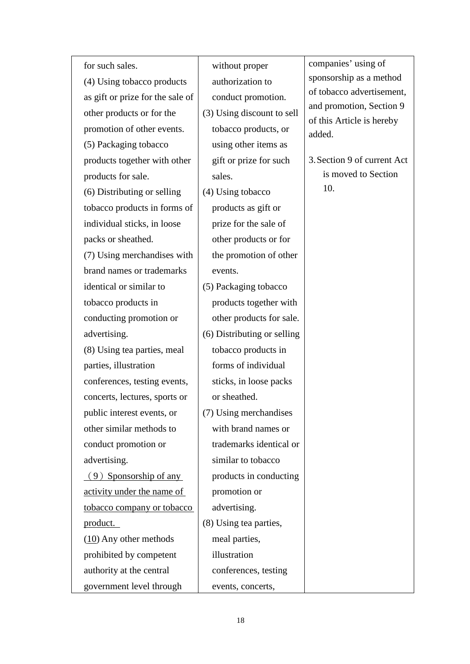for such sales.

(4) Using tobacco products as gift or prize for the sale of other products or for the promotion of other events. (5) Packaging tobacco products together with other products for sale. (6) Distributing or selling tobacco products in forms of individual sticks, in loose packs or sheathed. (7) Using merchandises with brand names or trademarks identical or similar to tobacco products in conducting promotion or advertising. (8) Using tea parties, meal parties, illustration conferences, testing events, concerts, lectures, sports or public interest events, or other similar methods to conduct promotion or advertising.  $(9)$  Sponsorship of any activity under the name of tobacco company or tobacco product. (10) Any other methods prohibited by competent authority at the central government level through

without proper authorization to conduct promotion. (3) Using discount to sell tobacco products, or using other items as gift or prize for such sales. (4) Using tobacco products as gift or prize for the sale of other products or for the promotion of other events. (5) Packaging tobacco products together with other products for sale. (6) Distributing or selling tobacco products in forms of individual sticks, in loose packs or sheathed. (7) Using merchandises with brand names or trademarks identical or similar to tobacco products in conducting promotion or advertising. (8) Using tea parties, meal parties, illustration

companies' using of sponsorship as a method of tobacco advertisement, and promotion, Section 9 of this Article is hereby added.

3.Section 9 of current Act is moved to Section 10.

events, concerts,

conferences, testing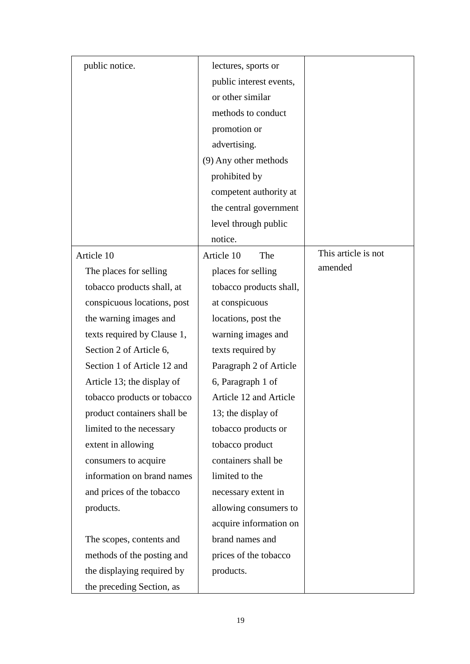| public notice.              | lectures, sports or     |                     |
|-----------------------------|-------------------------|---------------------|
|                             | public interest events, |                     |
|                             | or other similar        |                     |
|                             | methods to conduct      |                     |
|                             | promotion or            |                     |
|                             | advertising.            |                     |
|                             | (9) Any other methods   |                     |
|                             | prohibited by           |                     |
|                             | competent authority at  |                     |
|                             | the central government  |                     |
|                             | level through public    |                     |
|                             | notice.                 |                     |
| Article 10                  | Article 10<br>The       | This article is not |
| The places for selling      | places for selling      | amended             |
| tobacco products shall, at  | tobacco products shall, |                     |
| conspicuous locations, post | at conspicuous          |                     |
| the warning images and      | locations, post the     |                     |
| texts required by Clause 1, | warning images and      |                     |
| Section 2 of Article 6,     | texts required by       |                     |
| Section 1 of Article 12 and | Paragraph 2 of Article  |                     |
| Article 13; the display of  | 6, Paragraph 1 of       |                     |
| tobacco products or tobacco | Article 12 and Article  |                     |
| product containers shall be | 13; the display of      |                     |
| limited to the necessary    | tobacco products or     |                     |
| extent in allowing          | tobacco product         |                     |
| consumers to acquire        | containers shall be     |                     |
| information on brand names  | limited to the          |                     |
| and prices of the tobacco   | necessary extent in     |                     |
| products.                   | allowing consumers to   |                     |
|                             | acquire information on  |                     |
| The scopes, contents and    | brand names and         |                     |
| methods of the posting and  | prices of the tobacco   |                     |
| the displaying required by  | products.               |                     |
| the preceding Section, as   |                         |                     |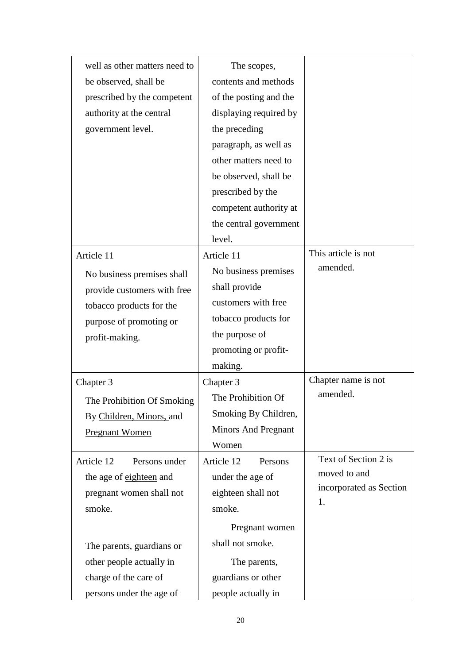| well as other matters need to | The scopes,                |                         |
|-------------------------------|----------------------------|-------------------------|
| be observed, shall be         | contents and methods       |                         |
| prescribed by the competent   | of the posting and the     |                         |
| authority at the central      | displaying required by     |                         |
| government level.             | the preceding              |                         |
|                               | paragraph, as well as      |                         |
|                               | other matters need to      |                         |
|                               | be observed, shall be      |                         |
|                               | prescribed by the          |                         |
|                               | competent authority at     |                         |
|                               | the central government     |                         |
|                               | level.                     |                         |
| Article 11                    | Article 11                 | This article is not     |
| No business premises shall    | No business premises       | amended.                |
| provide customers with free   | shall provide              |                         |
| tobacco products for the      | customers with free        |                         |
| purpose of promoting or       | tobacco products for       |                         |
| profit-making.                | the purpose of             |                         |
|                               | promoting or profit-       |                         |
|                               | making.                    |                         |
| Chapter 3                     | Chapter 3                  | Chapter name is not     |
| The Prohibition Of Smoking    | The Prohibition Of         | amended.                |
| By Children, Minors, and      | Smoking By Children,       |                         |
| <b>Pregnant Women</b>         | <b>Minors And Pregnant</b> |                         |
|                               | Women                      |                         |
| Article 12<br>Persons under   | Article 12<br>Persons      | Text of Section 2 is    |
| the age of eighteen and       | under the age of           | moved to and            |
| pregnant women shall not      | eighteen shall not         | incorporated as Section |
| smoke.                        | smoke.                     | 1.                      |
|                               | Pregnant women             |                         |
| The parents, guardians or     | shall not smoke.           |                         |
| other people actually in      | The parents,               |                         |
| charge of the care of         | guardians or other         |                         |
| persons under the age of      | people actually in         |                         |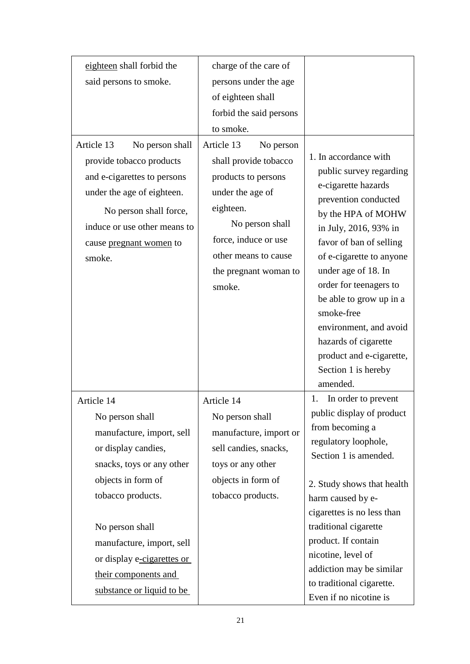| eighteen shall forbid the                                                                                                                                                                                             | charge of the care of                                                                                                                                                                                          |                                                                                                                                                                                                                                                                                                                                                                                                      |
|-----------------------------------------------------------------------------------------------------------------------------------------------------------------------------------------------------------------------|----------------------------------------------------------------------------------------------------------------------------------------------------------------------------------------------------------------|------------------------------------------------------------------------------------------------------------------------------------------------------------------------------------------------------------------------------------------------------------------------------------------------------------------------------------------------------------------------------------------------------|
| said persons to smoke.                                                                                                                                                                                                | persons under the age                                                                                                                                                                                          |                                                                                                                                                                                                                                                                                                                                                                                                      |
|                                                                                                                                                                                                                       | of eighteen shall                                                                                                                                                                                              |                                                                                                                                                                                                                                                                                                                                                                                                      |
|                                                                                                                                                                                                                       | forbid the said persons                                                                                                                                                                                        |                                                                                                                                                                                                                                                                                                                                                                                                      |
|                                                                                                                                                                                                                       | to smoke.                                                                                                                                                                                                      |                                                                                                                                                                                                                                                                                                                                                                                                      |
| Article 13<br>No person shall<br>provide tobacco products<br>and e-cigarettes to persons<br>under the age of eighteen.<br>No person shall force,<br>induce or use other means to<br>cause pregnant women to<br>smoke. | Article 13<br>No person<br>shall provide tobacco<br>products to persons<br>under the age of<br>eighteen.<br>No person shall<br>force, induce or use<br>other means to cause<br>the pregnant woman to<br>smoke. | 1. In accordance with<br>public survey regarding<br>e-cigarette hazards<br>prevention conducted<br>by the HPA of MOHW<br>in July, 2016, 93% in<br>favor of ban of selling<br>of e-cigarette to anyone<br>under age of 18. In<br>order for teenagers to<br>be able to grow up in a<br>smoke-free<br>environment, and avoid<br>hazards of cigarette<br>product and e-cigarette,<br>Section 1 is hereby |
|                                                                                                                                                                                                                       |                                                                                                                                                                                                                | amended.<br>In order to prevent<br>1.                                                                                                                                                                                                                                                                                                                                                                |
| Article 14                                                                                                                                                                                                            | Article 14                                                                                                                                                                                                     | public display of product                                                                                                                                                                                                                                                                                                                                                                            |
| No person shall                                                                                                                                                                                                       | No person shall                                                                                                                                                                                                | from becoming a                                                                                                                                                                                                                                                                                                                                                                                      |
| manufacture, import, sell<br>or display candies,                                                                                                                                                                      | manufacture, import or<br>sell candies, snacks,                                                                                                                                                                | regulatory loophole,                                                                                                                                                                                                                                                                                                                                                                                 |
| snacks, toys or any other                                                                                                                                                                                             | toys or any other                                                                                                                                                                                              | Section 1 is amended.                                                                                                                                                                                                                                                                                                                                                                                |
| objects in form of                                                                                                                                                                                                    | objects in form of                                                                                                                                                                                             |                                                                                                                                                                                                                                                                                                                                                                                                      |
| tobacco products.                                                                                                                                                                                                     | tobacco products.                                                                                                                                                                                              | 2. Study shows that health                                                                                                                                                                                                                                                                                                                                                                           |
|                                                                                                                                                                                                                       |                                                                                                                                                                                                                | harm caused by e-<br>cigarettes is no less than                                                                                                                                                                                                                                                                                                                                                      |
| No person shall                                                                                                                                                                                                       |                                                                                                                                                                                                                | traditional cigarette                                                                                                                                                                                                                                                                                                                                                                                |
| manufacture, import, sell                                                                                                                                                                                             |                                                                                                                                                                                                                | product. If contain                                                                                                                                                                                                                                                                                                                                                                                  |
| or display e-cigarettes or                                                                                                                                                                                            |                                                                                                                                                                                                                | nicotine, level of                                                                                                                                                                                                                                                                                                                                                                                   |
| their components and                                                                                                                                                                                                  |                                                                                                                                                                                                                | addiction may be similar                                                                                                                                                                                                                                                                                                                                                                             |
| substance or liquid to be                                                                                                                                                                                             |                                                                                                                                                                                                                | to traditional cigarette.<br>Even if no nicotine is                                                                                                                                                                                                                                                                                                                                                  |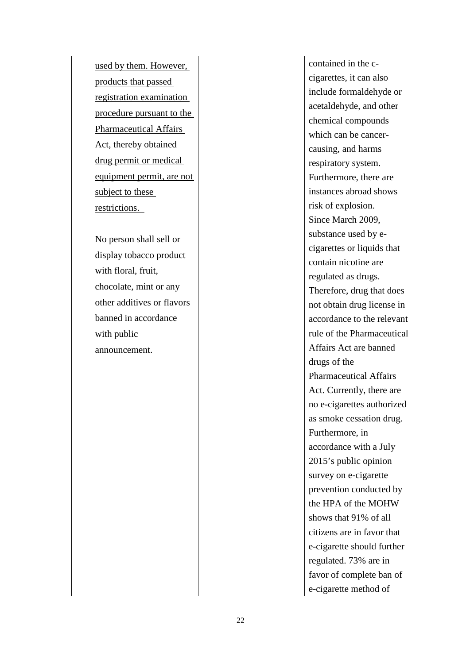used by them. However, products that passed registration examination procedure pursuant to the Pharmaceutical Affairs Act, thereby obtained drug permit or medical equipment permit, are not subject to these<br>restrictions.

No person shall sell or display tobacco product with floral, fruit, chocolate, mint or any other additives or flavors banned in accordance with public announcement.

contained in the c cigarettes, it can also include formaldehyde or acetaldehyde, and other chemical compounds which can be cancer causing, and harms respiratory system. Furthermore, there are instances abroad shows risk of explosion. Since March 2009, substance used by e cigarettes or liquids that contain nicotine are regulated as drugs. Therefore, drug that does not obtain drug license in accordance to the relevant rule of the Pharmaceutical Affairs Act are banned drugs of the Pharmaceutical Affairs Act. Currently, there are no e -cigarettes authorized as smoke cessation drug. Furthermore, in accordance with a July 2015's public opinion survey on e -cigarette prevention conducted by the HPA of the MOHW shows that 91% of all citizens are in favor that e-cigarette should further regulated. 73% are in favor of complete ban of e-cigarette method of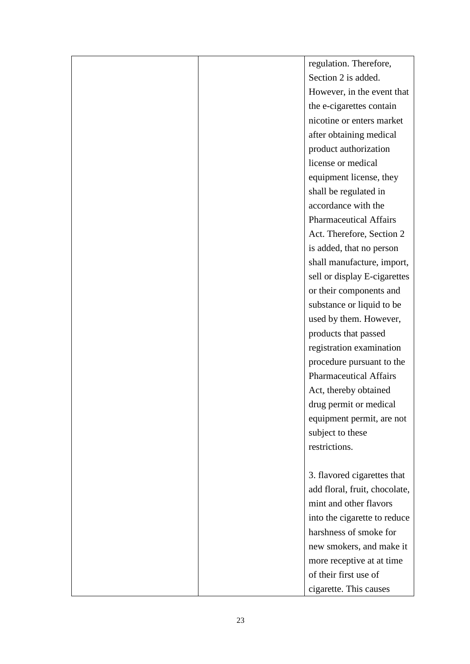|  | regulation. Therefore,        |
|--|-------------------------------|
|  | Section 2 is added.           |
|  | However, in the event that    |
|  | the e-cigarettes contain      |
|  | nicotine or enters market     |
|  | after obtaining medical       |
|  | product authorization         |
|  | license or medical            |
|  | equipment license, they       |
|  | shall be regulated in         |
|  | accordance with the           |
|  | <b>Pharmaceutical Affairs</b> |
|  | Act. Therefore, Section 2     |
|  | is added, that no person      |
|  | shall manufacture, import,    |
|  | sell or display E-cigarettes  |
|  | or their components and       |
|  | substance or liquid to be     |
|  | used by them. However,        |
|  | products that passed          |
|  | registration examination      |
|  | procedure pursuant to the     |
|  | <b>Pharmaceutical Affairs</b> |
|  | Act, thereby obtained         |
|  | drug permit or medical        |
|  | equipment permit, are not     |
|  | subject to these              |
|  | restrictions.                 |
|  |                               |
|  | 3. flavored cigarettes that   |
|  | add floral, fruit, chocolate, |
|  | mint and other flavors        |
|  | into the cigarette to reduce  |
|  | harshness of smoke for        |
|  | new smokers, and make it      |
|  | more receptive at at time     |
|  | of their first use of         |
|  | cigarette. This causes        |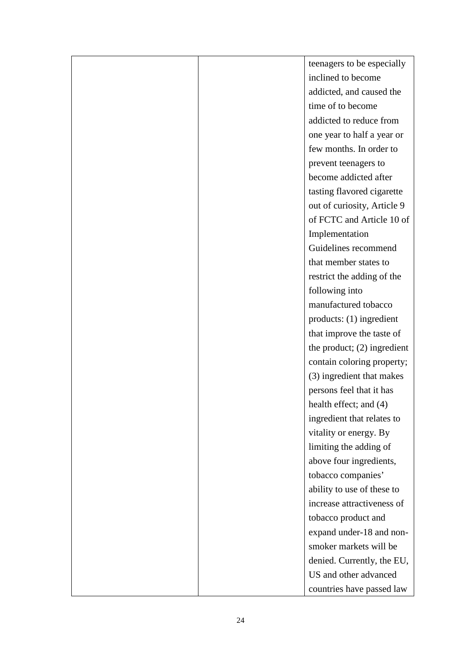|  | teenagers to be especially    |
|--|-------------------------------|
|  | inclined to become            |
|  | addicted, and caused the      |
|  | time of to become             |
|  | addicted to reduce from       |
|  | one year to half a year or    |
|  | few months. In order to       |
|  | prevent teenagers to          |
|  | become addicted after         |
|  | tasting flavored cigarette    |
|  | out of curiosity, Article 9   |
|  | of FCTC and Article 10 of     |
|  | Implementation                |
|  | Guidelines recommend          |
|  | that member states to         |
|  | restrict the adding of the    |
|  | following into                |
|  | manufactured tobacco          |
|  | products: (1) ingredient      |
|  | that improve the taste of     |
|  | the product; $(2)$ ingredient |
|  | contain coloring property;    |
|  | (3) ingredient that makes     |
|  | persons feel that it has      |
|  | health effect; and (4)        |
|  | ingredient that relates to    |
|  | vitality or energy. By        |
|  | limiting the adding of        |
|  | above four ingredients,       |
|  | tobacco companies'            |
|  | ability to use of these to    |
|  | increase attractiveness of    |
|  | tobacco product and           |
|  | expand under-18 and non-      |
|  | smoker markets will be        |
|  | denied. Currently, the EU,    |
|  | US and other advanced         |
|  | countries have passed law     |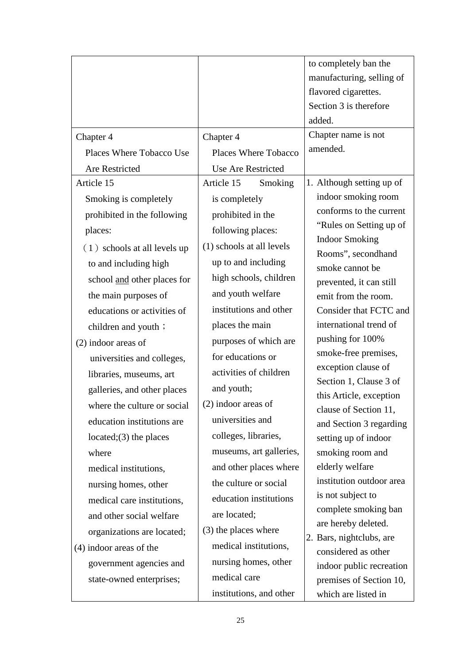|                                |                           | to completely ban the                             |
|--------------------------------|---------------------------|---------------------------------------------------|
|                                |                           | manufacturing, selling of                         |
|                                |                           | flavored cigarettes.                              |
|                                |                           | Section 3 is therefore                            |
|                                |                           | added.                                            |
| Chapter 4                      | Chapter 4                 | Chapter name is not                               |
| Places Where Tobacco Use       | Places Where Tobacco      | amended.                                          |
| Are Restricted                 | Use Are Restricted        |                                                   |
| Article 15                     | Article 15<br>Smoking     | 1. Although setting up of                         |
| Smoking is completely          | is completely             | indoor smoking room                               |
| prohibited in the following    | prohibited in the         | conforms to the current                           |
| places:                        | following places:         | "Rules on Setting up of                           |
| $(1)$ schools at all levels up | (1) schools at all levels | <b>Indoor Smoking</b><br>Rooms", secondhand       |
| to and including high          | up to and including       | smoke cannot be                                   |
| school and other places for    | high schools, children    | prevented, it can still                           |
| the main purposes of           | and youth welfare         | emit from the room.                               |
| educations or activities of    | institutions and other    | Consider that FCTC and                            |
| children and youth ;           | places the main           | international trend of                            |
| $(2)$ indoor areas of          | purposes of which are     | pushing for 100%                                  |
| universities and colleges,     | for educations or         | smoke-free premises,                              |
| libraries, museums, art        | activities of children    | exception clause of                               |
| galleries, and other places    | and youth;                | Section 1, Clause 3 of<br>this Article, exception |
| where the culture or social    | $(2)$ indoor areas of     | clause of Section 11,                             |
| education institutions are     | universities and          | and Section 3 regarding                           |
| located; $(3)$ the places      | colleges, libraries,      | setting up of indoor                              |
| where                          | museums, art galleries,   | smoking room and                                  |
| medical institutions,          | and other places where    | elderly welfare                                   |
| nursing homes, other           | the culture or social     | institution outdoor area                          |
| medical care institutions,     | education institutions    | is not subject to                                 |
| and other social welfare       | are located;              | complete smoking ban                              |
| organizations are located;     | (3) the places where      | are hereby deleted.<br>2. Bars, nightclubs, are   |
| $(4)$ indoor areas of the      | medical institutions,     | considered as other                               |
| government agencies and        | nursing homes, other      | indoor public recreation                          |
| state-owned enterprises;       | medical care              | premises of Section 10,                           |
|                                | institutions, and other   | which are listed in                               |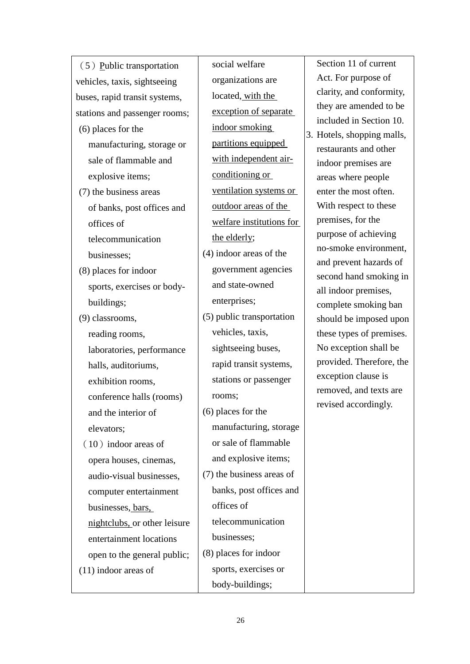| $(5)$ Public transportation   | social welfare            | Section 11 of current                               |
|-------------------------------|---------------------------|-----------------------------------------------------|
| vehicles, taxis, sightseeing  | organizations are         | Act. For purpose of                                 |
| buses, rapid transit systems, | located, with the         | clarity, and conformity,                            |
| stations and passenger rooms; | exception of separate     | they are amended to be                              |
| $(6)$ places for the          | indoor smoking            | included in Section 10.                             |
| manufacturing, storage or     | partitions equipped       | 3. Hotels, shopping malls,<br>restaurants and other |
| sale of flammable and         | with independent air-     | indoor premises are                                 |
| explosive items;              | conditioning or           | areas where people                                  |
| (7) the business areas        | ventilation systems or    | enter the most often.                               |
| of banks, post offices and    | outdoor areas of the      | With respect to these                               |
| offices of                    | welfare institutions for  | premises, for the                                   |
| telecommunication             | the elderly;              | purpose of achieving                                |
| businesses;                   | $(4)$ indoor areas of the | no-smoke environment,                               |
| (8) places for indoor         | government agencies       | and prevent hazards of<br>second hand smoking in    |
| sports, exercises or body-    | and state-owned           | all indoor premises,                                |
| buildings;                    | enterprises;              | complete smoking ban                                |
| (9) classrooms,               | (5) public transportation | should be imposed upon                              |
| reading rooms,                | vehicles, taxis,          | these types of premises.                            |
| laboratories, performance     | sightseeing buses,        | No exception shall be                               |
| halls, auditoriums,           | rapid transit systems,    | provided. Therefore, the                            |
| exhibition rooms,             | stations or passenger     | exception clause is                                 |
| conference halls (rooms)      | rooms;                    | removed, and texts are<br>revised accordingly.      |
| and the interior of           | $(6)$ places for the      |                                                     |
| elevators;                    | manufacturing, storage    |                                                     |
| $(10)$ indoor areas of        | or sale of flammable      |                                                     |
| opera houses, cinemas,        | and explosive items;      |                                                     |
| audio-visual businesses,      | (7) the business areas of |                                                     |
| computer entertainment        | banks, post offices and   |                                                     |
| businesses, bars,             | offices of                |                                                     |
| nightclubs, or other leisure  | telecommunication         |                                                     |
| entertainment locations       | businesses;               |                                                     |
| open to the general public;   | (8) places for indoor     |                                                     |
| $(11)$ indoor areas of        | sports, exercises or      |                                                     |
|                               | body-buildings;           |                                                     |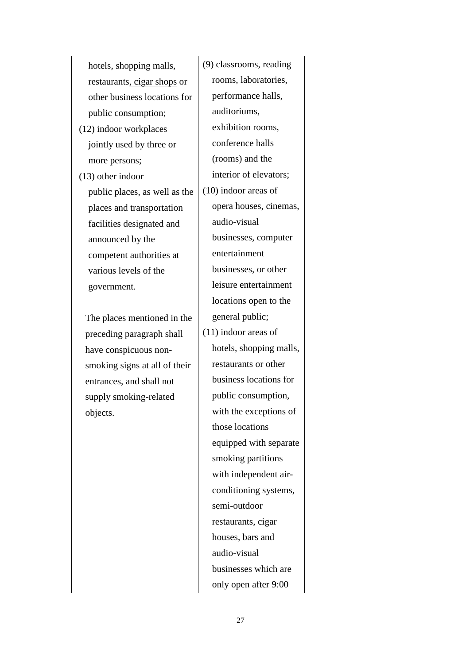| hotels, shopping malls,       | (9) classrooms, reading |  |
|-------------------------------|-------------------------|--|
| restaurants, cigar shops or   | rooms, laboratories,    |  |
| other business locations for  | performance halls,      |  |
| public consumption;           | auditoriums,            |  |
| (12) indoor workplaces        | exhibition rooms,       |  |
| jointly used by three or      | conference halls        |  |
| more persons;                 | (rooms) and the         |  |
| $(13)$ other indoor           | interior of elevators;  |  |
| public places, as well as the | $(10)$ indoor areas of  |  |
| places and transportation     | opera houses, cinemas,  |  |
| facilities designated and     | audio-visual            |  |
| announced by the              | businesses, computer    |  |
| competent authorities at      | entertainment           |  |
| various levels of the         | businesses, or other    |  |
| government.                   | leisure entertainment   |  |
|                               | locations open to the   |  |
| The places mentioned in the   | general public;         |  |
| preceding paragraph shall     | $(11)$ indoor areas of  |  |
| have conspicuous non-         | hotels, shopping malls, |  |
| smoking signs at all of their | restaurants or other    |  |
| entrances, and shall not      | business locations for  |  |
| supply smoking-related        | public consumption,     |  |
| objects.                      | with the exceptions of  |  |
|                               | those locations         |  |
|                               | equipped with separate  |  |
|                               | smoking partitions      |  |
|                               | with independent air-   |  |
|                               | conditioning systems,   |  |
|                               | semi-outdoor            |  |
|                               | restaurants, cigar      |  |
|                               | houses, bars and        |  |
|                               | audio-visual            |  |
|                               | businesses which are    |  |
|                               | only open after 9:00    |  |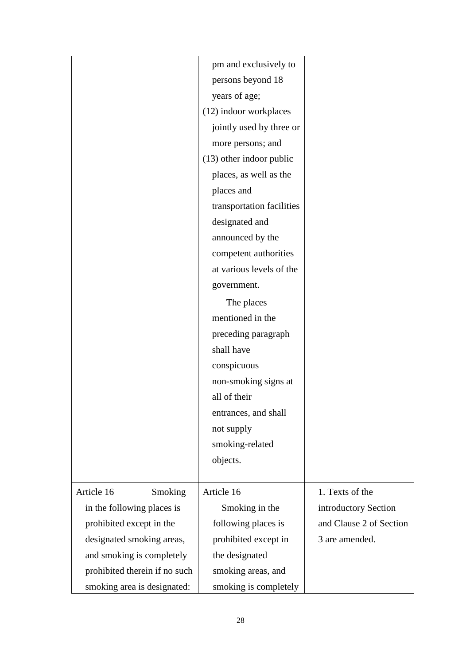|                               | pm and exclusively to      |                         |
|-------------------------------|----------------------------|-------------------------|
|                               | persons beyond 18          |                         |
|                               | years of age;              |                         |
|                               | (12) indoor workplaces     |                         |
|                               | jointly used by three or   |                         |
|                               | more persons; and          |                         |
|                               | $(13)$ other indoor public |                         |
|                               | places, as well as the     |                         |
|                               | places and                 |                         |
|                               | transportation facilities  |                         |
|                               | designated and             |                         |
|                               | announced by the           |                         |
|                               | competent authorities      |                         |
|                               | at various levels of the   |                         |
|                               | government.                |                         |
|                               | The places                 |                         |
|                               | mentioned in the           |                         |
|                               | preceding paragraph        |                         |
|                               | shall have                 |                         |
|                               | conspicuous                |                         |
|                               | non-smoking signs at       |                         |
|                               | all of their               |                         |
|                               | entrances, and shall       |                         |
|                               | not supply                 |                         |
|                               | smoking-related            |                         |
|                               | objects.                   |                         |
|                               |                            |                         |
| Article 16<br>Smoking         | Article 16                 | 1. Texts of the         |
| in the following places is    | Smoking in the             | introductory Section    |
| prohibited except in the      | following places is        | and Clause 2 of Section |
| designated smoking areas,     | prohibited except in       | 3 are amended.          |
| and smoking is completely     | the designated             |                         |
| prohibited therein if no such | smoking areas, and         |                         |
| smoking area is designated:   | smoking is completely      |                         |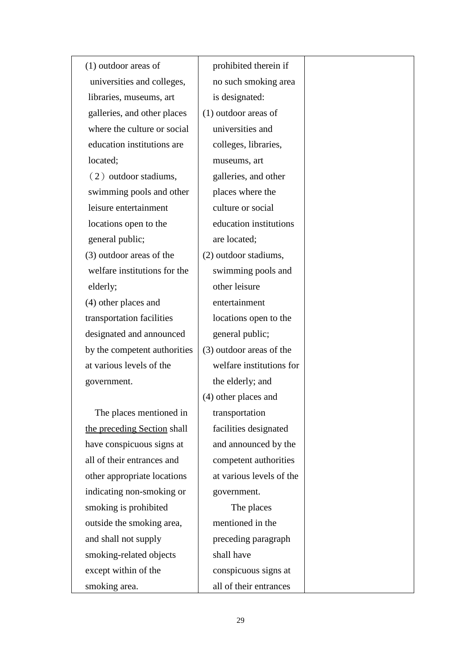(1) outdoor areas of universities and colleges, libraries, museums, art galleries, and other places where the culture or social education institutions are located;  $(2)$  outdoor stadiums, swimming pools and other leisure entertainment locations open to the general public; (3) outdoor areas of the welfare institutions for the elderly; (4) other places and transportation facilities designated and announced by the competent authorities at various levels of the government. The places mentioned in the preceding Section shall have conspicuous signs at all of their entrances and other appropriate locations indicating non-smoking or smoking is prohibited outside the smoking area, and shall not supply smoking-related objects except within of the prohibited therein if no such smoking area is designated: (1) outdoor areas of universities and museums, art are located; other leisure entertainment general public; the elderly; and (4) other places and transportation government. shall have

smoking area.

colleges, libraries, galleries, and other places where the culture or social education institutions (2) outdoor stadiums, swimming pools and locations open to the (3) outdoor areas of the welfare institutions for facilities designated and announced by the competent authorities at various levels of the The places mentioned in the preceding paragraph conspicuous signs at all of their entrances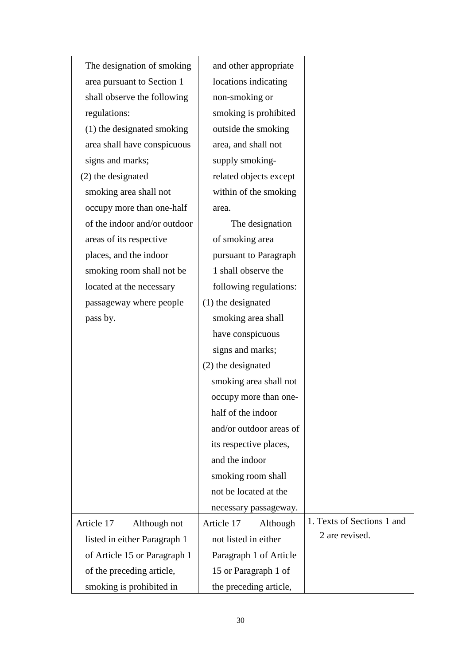| The designation of smoking   | and other appropriate   |                            |
|------------------------------|-------------------------|----------------------------|
| area pursuant to Section 1   | locations indicating    |                            |
| shall observe the following  | non-smoking or          |                            |
| regulations:                 | smoking is prohibited   |                            |
| (1) the designated smoking   | outside the smoking     |                            |
| area shall have conspicuous  | area, and shall not     |                            |
| signs and marks;             | supply smoking-         |                            |
| (2) the designated           | related objects except  |                            |
| smoking area shall not       | within of the smoking   |                            |
| occupy more than one-half    | area.                   |                            |
| of the indoor and/or outdoor | The designation         |                            |
| areas of its respective      | of smoking area         |                            |
| places, and the indoor       | pursuant to Paragraph   |                            |
| smoking room shall not be    | 1 shall observe the     |                            |
| located at the necessary     | following regulations:  |                            |
| passageway where people      | (1) the designated      |                            |
| pass by.                     | smoking area shall      |                            |
|                              | have conspicuous        |                            |
|                              | signs and marks;        |                            |
|                              | (2) the designated      |                            |
|                              | smoking area shall not  |                            |
|                              | occupy more than one-   |                            |
|                              | half of the indoor      |                            |
|                              | and/or outdoor areas of |                            |
|                              | its respective places,  |                            |
|                              | and the indoor          |                            |
|                              | smoking room shall      |                            |
|                              | not be located at the   |                            |
|                              | necessary passageway.   |                            |
| Article 17<br>Although not   | Article 17<br>Although  | 1. Texts of Sections 1 and |
| listed in either Paragraph 1 | not listed in either    | 2 are revised.             |
| of Article 15 or Paragraph 1 | Paragraph 1 of Article  |                            |
| of the preceding article,    | 15 or Paragraph 1 of    |                            |
| smoking is prohibited in     | the preceding article,  |                            |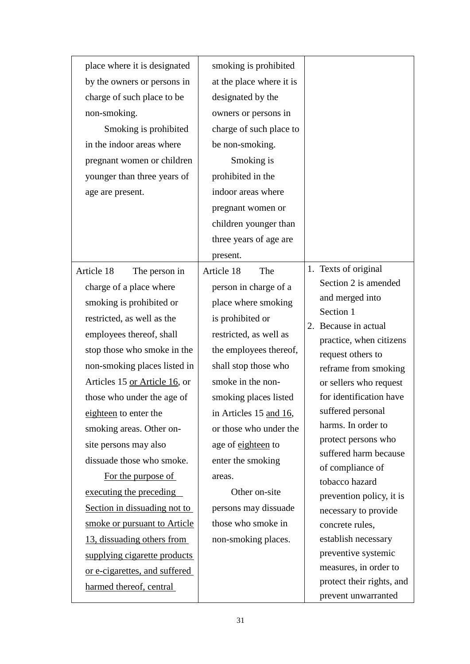| place where it is designated  | smoking is prohibited    |                                              |
|-------------------------------|--------------------------|----------------------------------------------|
| by the owners or persons in   | at the place where it is |                                              |
| charge of such place to be    | designated by the        |                                              |
| non-smoking.                  | owners or persons in     |                                              |
| Smoking is prohibited         | charge of such place to  |                                              |
| in the indoor areas where     | be non-smoking.          |                                              |
| pregnant women or children    | Smoking is               |                                              |
| younger than three years of   | prohibited in the        |                                              |
| age are present.              | indoor areas where       |                                              |
|                               | pregnant women or        |                                              |
|                               | children younger than    |                                              |
|                               | three years of age are   |                                              |
|                               | present.                 |                                              |
| Article 18<br>The person in   | Article 18<br>The        | 1. Texts of original                         |
| charge of a place where       | person in charge of a    | Section 2 is amended                         |
| smoking is prohibited or      | place where smoking      | and merged into                              |
| restricted, as well as the    | is prohibited or         | Section 1                                    |
| employees thereof, shall      | restricted, as well as   | 2. Because in actual                         |
| stop those who smoke in the   | the employees thereof,   | practice, when citizens<br>request others to |
| non-smoking places listed in  | shall stop those who     | reframe from smoking                         |
| Articles 15 or Article 16, or | smoke in the non-        | or sellers who request                       |
| those who under the age of    | smoking places listed    | for identification have                      |
| eighteen to enter the         | in Articles 15 and 16,   | suffered personal                            |
| smoking areas. Other on-      | or those who under the   | harms. In order to                           |
| site persons may also         | age of eighteen to       | protect persons who                          |
| dissuade those who smoke.     | enter the smoking        | suffered harm because                        |
| For the purpose of            | areas.                   | of compliance of<br>tobacco hazard           |
| executing the preceding       | Other on-site            | prevention policy, it is                     |
| Section in dissuading not to  | persons may dissuade     | necessary to provide                         |
| smoke or pursuant to Article  | those who smoke in       | concrete rules,                              |
| 13, dissuading others from    | non-smoking places.      | establish necessary                          |
| supplying cigarette products  |                          | preventive systemic                          |
| or e-cigarettes, and suffered |                          | measures, in order to                        |
| harmed thereof, central       |                          | protect their rights, and                    |
|                               |                          | prevent unwarranted                          |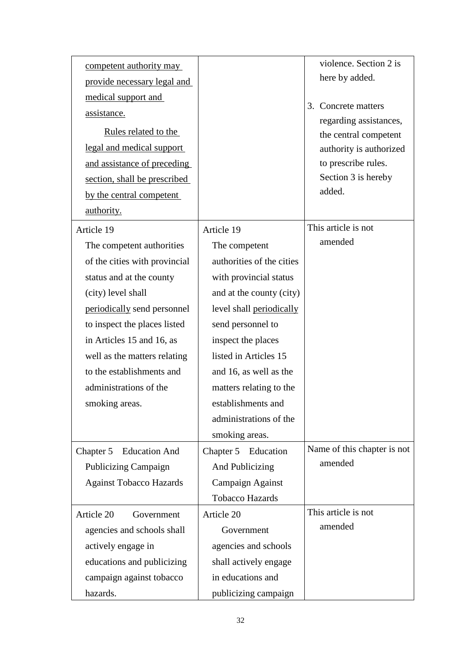| competent authority may<br>provide necessary legal and<br>medical support and<br>assistance.<br>Rules related to the<br>legal and medical support<br>and assistance of preceding<br>section, shall be prescribed<br>by the central competent<br><u>authority.</u> |                           | violence. Section 2 is<br>here by added.<br>3. Concrete matters<br>regarding assistances,<br>the central competent<br>authority is authorized<br>to prescribe rules.<br>Section 3 is hereby<br>added. |
|-------------------------------------------------------------------------------------------------------------------------------------------------------------------------------------------------------------------------------------------------------------------|---------------------------|-------------------------------------------------------------------------------------------------------------------------------------------------------------------------------------------------------|
| Article 19                                                                                                                                                                                                                                                        | Article 19                | This article is not                                                                                                                                                                                   |
| The competent authorities                                                                                                                                                                                                                                         | The competent             | amended                                                                                                                                                                                               |
| of the cities with provincial                                                                                                                                                                                                                                     | authorities of the cities |                                                                                                                                                                                                       |
| status and at the county                                                                                                                                                                                                                                          | with provincial status    |                                                                                                                                                                                                       |
| (city) level shall                                                                                                                                                                                                                                                | and at the county (city)  |                                                                                                                                                                                                       |
| periodically send personnel                                                                                                                                                                                                                                       | level shall periodically  |                                                                                                                                                                                                       |
| to inspect the places listed                                                                                                                                                                                                                                      | send personnel to         |                                                                                                                                                                                                       |
| in Articles 15 and 16, as                                                                                                                                                                                                                                         | inspect the places        |                                                                                                                                                                                                       |
| well as the matters relating                                                                                                                                                                                                                                      | listed in Articles 15     |                                                                                                                                                                                                       |
| to the establishments and                                                                                                                                                                                                                                         | and 16, as well as the    |                                                                                                                                                                                                       |
| administrations of the                                                                                                                                                                                                                                            | matters relating to the   |                                                                                                                                                                                                       |
| smoking areas.                                                                                                                                                                                                                                                    | establishments and        |                                                                                                                                                                                                       |
|                                                                                                                                                                                                                                                                   | administrations of the    |                                                                                                                                                                                                       |
|                                                                                                                                                                                                                                                                   | smoking areas.            |                                                                                                                                                                                                       |
| <b>Education And</b><br>Chapter 5                                                                                                                                                                                                                                 | Chapter 5<br>Education    | Name of this chapter is not                                                                                                                                                                           |
| <b>Publicizing Campaign</b>                                                                                                                                                                                                                                       | And Publicizing           | amended                                                                                                                                                                                               |
| <b>Against Tobacco Hazards</b>                                                                                                                                                                                                                                    | Campaign Against          |                                                                                                                                                                                                       |
|                                                                                                                                                                                                                                                                   | <b>Tobacco Hazards</b>    |                                                                                                                                                                                                       |
| Article 20<br>Government                                                                                                                                                                                                                                          | Article 20                | This article is not                                                                                                                                                                                   |
| agencies and schools shall                                                                                                                                                                                                                                        | Government                | amended                                                                                                                                                                                               |
| actively engage in                                                                                                                                                                                                                                                | agencies and schools      |                                                                                                                                                                                                       |
| educations and publicizing                                                                                                                                                                                                                                        | shall actively engage     |                                                                                                                                                                                                       |
| campaign against tobacco                                                                                                                                                                                                                                          | in educations and         |                                                                                                                                                                                                       |
| hazards.                                                                                                                                                                                                                                                          | publicizing campaign      |                                                                                                                                                                                                       |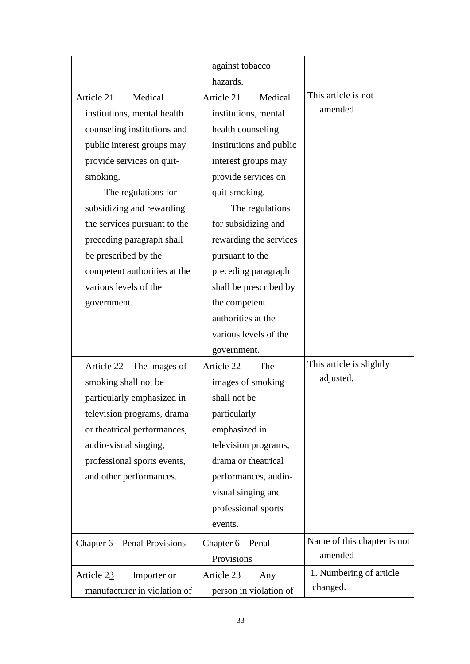|                               | against tobacco<br>hazards. |                             |
|-------------------------------|-----------------------------|-----------------------------|
|                               |                             | This article is not         |
| Article 21<br>Medical         | Article 21<br>Medical       | amended                     |
| institutions, mental health   | institutions, mental        |                             |
| counseling institutions and   | health counseling           |                             |
| public interest groups may    | institutions and public     |                             |
| provide services on quit-     | interest groups may         |                             |
| smoking.                      | provide services on         |                             |
| The regulations for           | quit-smoking.               |                             |
| subsidizing and rewarding     | The regulations             |                             |
| the services pursuant to the  | for subsidizing and         |                             |
| preceding paragraph shall     | rewarding the services      |                             |
| be prescribed by the          | pursuant to the             |                             |
| competent authorities at the  | preceding paragraph         |                             |
| various levels of the         | shall be prescribed by      |                             |
| government.                   | the competent               |                             |
|                               | authorities at the          |                             |
|                               | various levels of the       |                             |
|                               | government.                 |                             |
| Article 22<br>The images of   | Article 22<br>The           | This article is slightly    |
| smoking shall not be          | images of smoking           | adjusted.                   |
| particularly emphasized in    | shall not be                |                             |
| television programs, drama    | particularly                |                             |
| or theatrical performances,   | emphasized in               |                             |
| audio-visual singing,         | television programs,        |                             |
| professional sports events,   | drama or theatrical         |                             |
| and other performances.       | performances, audio-        |                             |
|                               | visual singing and          |                             |
|                               | professional sports         |                             |
|                               | events.                     |                             |
| Penal Provisions<br>Chapter 6 | Chapter 6<br>Penal          | Name of this chapter is not |
|                               | Provisions                  | amended                     |
| Article 23<br>Importer or     | Article 23<br>Any           | 1. Numbering of article     |
| manufacturer in violation of  | person in violation of      | changed.                    |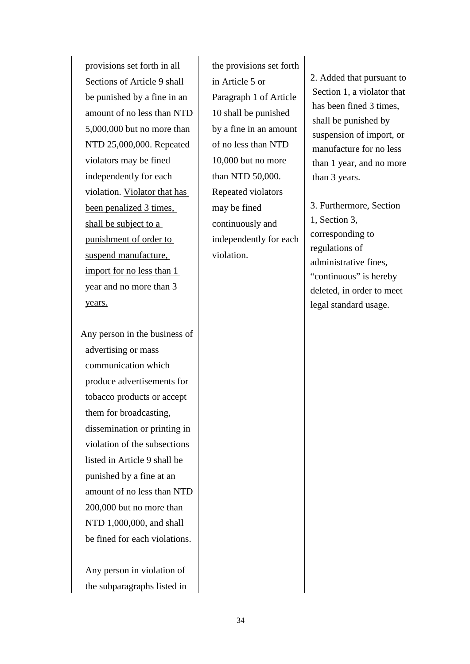provisions set forth in all Sections of Article 9 shall be punished by a fine in an amount of no less than NTD 5,000,000 but no more than NTD 25,000,000. Repeated violators may be fined independently for each violation. Violator that has been penalized 3 times, shall be subject to a punishment of order to suspend manufacture, import for no less than 1 year and no more than 3 years.

Any person in the business of advertising or mass communication which produce advertisements for tobacco products or accept them for broadcasting, dissemination or printing in violation of the subsections listed in Article 9 shall be punished by a fine at an amount of no less than NTD 200,000 but no more than NTD 1,000,000, and shall be fined for each violations.

 Any person in violation of the subparagraphs listed in the provisions set forth in Article 5 or Paragraph 1 of Article 10 shall be punished by a fine in an amount of no less than NTD 10,000 but no more than NTD 50,000. Repeated violators may be fined continuously and independently for each violation.

2. Added that pursuant to Section 1, a violator that has been fined 3 times, shall be punished by suspension of import, or manufacture for no less than 1 year, and no more than 3 years.

3. Furthermore, Section 1, Section 3, corresponding to regulations of administrative fines, "continuous" is hereby deleted, in order to meet legal standard usage.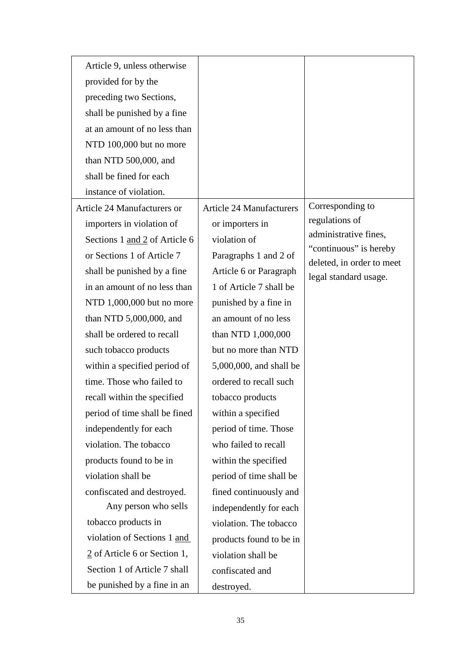| Article 9, unless otherwise              |                                 |                                                     |
|------------------------------------------|---------------------------------|-----------------------------------------------------|
| provided for by the                      |                                 |                                                     |
| preceding two Sections,                  |                                 |                                                     |
| shall be punished by a fine              |                                 |                                                     |
| at an amount of no less than             |                                 |                                                     |
| NTD 100,000 but no more                  |                                 |                                                     |
| than NTD 500,000, and                    |                                 |                                                     |
| shall be fined for each                  |                                 |                                                     |
| instance of violation.                   |                                 |                                                     |
| Article 24 Manufacturers or              | <b>Article 24 Manufacturers</b> | Corresponding to                                    |
| importers in violation of                | or importers in                 | regulations of                                      |
| Sections 1 and 2 of Article 6            | violation of                    | administrative fines,                               |
| or Sections 1 of Article 7               | Paragraphs 1 and 2 of           | "continuous" is hereby<br>deleted, in order to meet |
| shall be punished by a fine              | Article 6 or Paragraph          | legal standard usage.                               |
| in an amount of no less than             | 1 of Article 7 shall be         |                                                     |
| NTD 1,000,000 but no more                | punished by a fine in           |                                                     |
| than NTD 5,000,000, and                  | an amount of no less            |                                                     |
| shall be ordered to recall               | than NTD 1,000,000              |                                                     |
| such tobacco products                    | but no more than NTD            |                                                     |
| within a specified period of             | 5,000,000, and shall be         |                                                     |
| time. Those who failed to                | ordered to recall such          |                                                     |
| recall within the specified              | tobacco products                |                                                     |
| period of time shall be fined            | within a specified              |                                                     |
| independently for each                   | period of time. Those           |                                                     |
| violation. The tobacco                   | who failed to recall            |                                                     |
| products found to be in                  | within the specified            |                                                     |
| violation shall be                       | period of time shall be         |                                                     |
| confiscated and destroyed.               | fined continuously and          |                                                     |
| Any person who sells                     | independently for each          |                                                     |
| tobacco products in                      | violation. The tobacco          |                                                     |
| violation of Sections 1 and              | products found to be in         |                                                     |
| $\frac{2}{3}$ of Article 6 or Section 1, | violation shall be              |                                                     |
| Section 1 of Article 7 shall             | confiscated and                 |                                                     |
| be punished by a fine in an              | destroyed.                      |                                                     |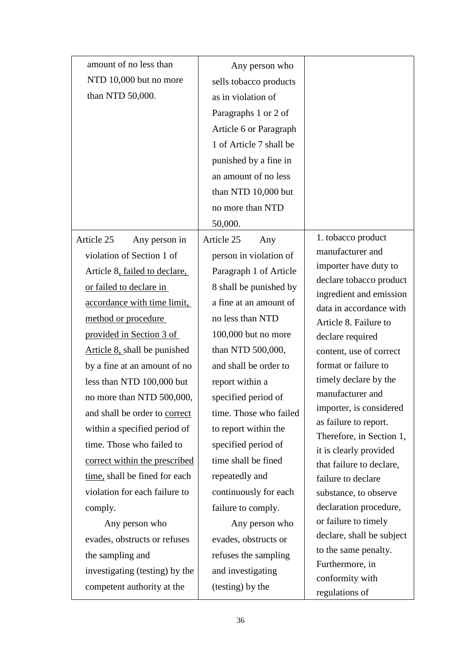| amount of no less than         | Any person who          |                                                    |
|--------------------------------|-------------------------|----------------------------------------------------|
| NTD 10,000 but no more         | sells tobacco products  |                                                    |
| than NTD 50,000.               | as in violation of      |                                                    |
|                                | Paragraphs 1 or 2 of    |                                                    |
|                                | Article 6 or Paragraph  |                                                    |
|                                | 1 of Article 7 shall be |                                                    |
|                                | punished by a fine in   |                                                    |
|                                | an amount of no less    |                                                    |
|                                | than NTD 10,000 but     |                                                    |
|                                | no more than NTD        |                                                    |
|                                | 50,000.                 |                                                    |
| Article 25<br>Any person in    | Article 25<br>Any       | 1. tobacco product                                 |
| violation of Section 1 of      | person in violation of  | manufacturer and                                   |
| Article 8, failed to declare,  | Paragraph 1 of Article  | importer have duty to                              |
| or failed to declare in        | 8 shall be punished by  | declare tobacco product<br>ingredient and emission |
| accordance with time limit,    | a fine at an amount of  | data in accordance with                            |
| method or procedure            | no less than NTD        | Article 8. Failure to                              |
| provided in Section 3 of       | 100,000 but no more     | declare required                                   |
| Article 8, shall be punished   | than NTD 500,000,       | content, use of correct                            |
| by a fine at an amount of no   | and shall be order to   | format or failure to                               |
| less than NTD 100,000 but      | report within a         | timely declare by the                              |
| no more than NTD 500,000,      | specified period of     | manufacturer and                                   |
| and shall be order to correct  | time. Those who failed  | importer, is considered                            |
| within a specified period of   | to report within the    | as failure to report.<br>Therefore, in Section 1,  |
| time. Those who failed to      | specified period of     | it is clearly provided                             |
| correct within the prescribed  | time shall be fined     | that failure to declare,                           |
| time, shall be fined for each  | repeatedly and          | failure to declare                                 |
| violation for each failure to  | continuously for each   | substance, to observe                              |
| comply.                        | failure to comply.      | declaration procedure,                             |
| Any person who                 | Any person who          | or failure to timely                               |
| evades, obstructs or refuses   | evades, obstructs or    | declare, shall be subject                          |
| the sampling and               | refuses the sampling    | to the same penalty.                               |
| investigating (testing) by the | and investigating       | Furthermore, in<br>conformity with                 |
| competent authority at the     | (testing) by the        | regulations of                                     |
|                                |                         |                                                    |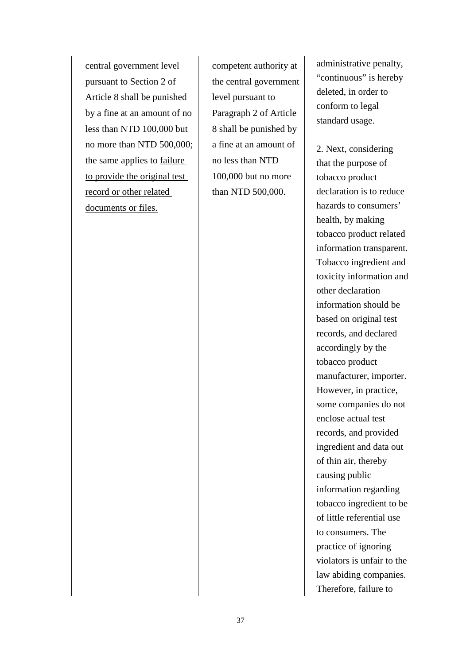central government level pursuant to Section 2 of Article 8 shall be punished by a fine at an amount of no less than NTD 100,000 but no more than NTD 500,000; the same applies to failure to provide the original test record or other related documents or files.

competent authority at the central government level pursuant to Paragraph 2 of Article 8 shall be punished by a fine at an amount of no less than NTD 100,000 but no more than NTD 500,000.

administrative penalty, "continuous" is hereby deleted, in order to conform to legal standard usage.

2. Next, considering that the purpose of tobacco product declaration is to reduce hazards to consumers' health, by making tobacco product related information transparent. Tobacco ingredient and toxicity information and other declaration information should be based on original test records, and declared accordingly by the tobacco product manufacturer, importer. However, in practice, some companies do not enclose actual test records, and provided ingredient and data out of thin air, thereby causing public information regarding tobacco ingredient to be of little referential use to consumers. The practice of ignoring violators is unfair to the law abiding companies. Therefore, failure to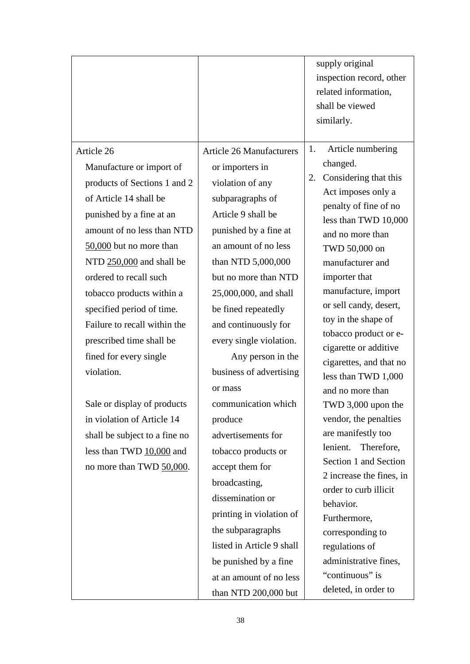|                                                                                                                                                                                                                                                                                                                                                                                                                                                                                                                                                                 |                                                                                                                                                                                                                                                                                                                                                                                                                                                                                                                                                                                                                                                        | supply original<br>inspection record, other<br>related information,<br>shall be viewed<br>similarly.                                                                                                                                                                                                                                                                                                                                                                                                                                                                                                                                                                                                            |
|-----------------------------------------------------------------------------------------------------------------------------------------------------------------------------------------------------------------------------------------------------------------------------------------------------------------------------------------------------------------------------------------------------------------------------------------------------------------------------------------------------------------------------------------------------------------|--------------------------------------------------------------------------------------------------------------------------------------------------------------------------------------------------------------------------------------------------------------------------------------------------------------------------------------------------------------------------------------------------------------------------------------------------------------------------------------------------------------------------------------------------------------------------------------------------------------------------------------------------------|-----------------------------------------------------------------------------------------------------------------------------------------------------------------------------------------------------------------------------------------------------------------------------------------------------------------------------------------------------------------------------------------------------------------------------------------------------------------------------------------------------------------------------------------------------------------------------------------------------------------------------------------------------------------------------------------------------------------|
| Article 26<br>Manufacture or import of<br>products of Sections 1 and 2<br>of Article 14 shall be<br>punished by a fine at an<br>amount of no less than NTD<br>50,000 but no more than<br>NTD 250,000 and shall be<br>ordered to recall such<br>tobacco products within a<br>specified period of time.<br>Failure to recall within the<br>prescribed time shall be<br>fined for every single<br>violation.<br>Sale or display of products<br>in violation of Article 14<br>shall be subject to a fine no<br>less than TWD 10,000 and<br>no more than TWD 50,000. | <b>Article 26 Manufacturers</b><br>or importers in<br>violation of any<br>subparagraphs of<br>Article 9 shall be<br>punished by a fine at<br>an amount of no less<br>than NTD 5,000,000<br>but no more than NTD<br>25,000,000, and shall<br>be fined repeatedly<br>and continuously for<br>every single violation.<br>Any person in the<br>business of advertising<br>or mass<br>communication which<br>produce<br>advertisements for<br>tobacco products or<br>accept them for<br>broadcasting,<br>dissemination or<br>printing in violation of<br>the subparagraphs<br>listed in Article 9 shall<br>be punished by a fine<br>at an amount of no less | Article numbering<br>1.<br>changed.<br>Considering that this<br>2.<br>Act imposes only a<br>penalty of fine of no<br>less than TWD 10,000<br>and no more than<br>TWD 50,000 on<br>manufacturer and<br>importer that<br>manufacture, import<br>or sell candy, desert,<br>toy in the shape of<br>tobacco product or e-<br>cigarette or additive<br>cigarettes, and that no<br>less than TWD 1,000<br>and no more than<br>TWD 3,000 upon the<br>vendor, the penalties<br>are manifestly too<br>lenient.<br>Therefore,<br>Section 1 and Section<br>2 increase the fines, in<br>order to curb illicit<br>behavior.<br>Furthermore,<br>corresponding to<br>regulations of<br>administrative fines,<br>"continuous" is |
|                                                                                                                                                                                                                                                                                                                                                                                                                                                                                                                                                                 | than NTD 200,000 but                                                                                                                                                                                                                                                                                                                                                                                                                                                                                                                                                                                                                                   | deleted, in order to                                                                                                                                                                                                                                                                                                                                                                                                                                                                                                                                                                                                                                                                                            |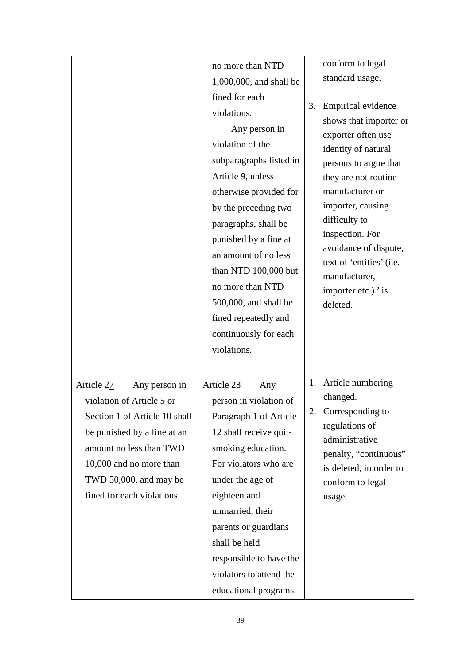|                                                                                                                                                                                                                                        | no more than NTD<br>1,000,000, and shall be<br>fined for each<br>violations.<br>Any person in<br>violation of the<br>subparagraphs listed in<br>Article 9, unless<br>otherwise provided for<br>by the preceding two<br>paragraphs, shall be<br>punished by a fine at<br>an amount of no less<br>than NTD 100,000 but<br>no more than NTD<br>500,000, and shall be<br>fined repeatedly and<br>continuously for each<br>violations. | conform to legal<br>standard usage.<br>Empirical evidence<br>3.<br>shows that importer or<br>exporter often use<br>identity of natural<br>persons to argue that<br>they are not routine<br>manufacturer or<br>importer, causing<br>difficulty to<br>inspection. For<br>avoidance of dispute,<br>text of 'entities' (i.e.<br>manufacturer,<br>importer etc.) ' is<br>deleted. |
|----------------------------------------------------------------------------------------------------------------------------------------------------------------------------------------------------------------------------------------|-----------------------------------------------------------------------------------------------------------------------------------------------------------------------------------------------------------------------------------------------------------------------------------------------------------------------------------------------------------------------------------------------------------------------------------|------------------------------------------------------------------------------------------------------------------------------------------------------------------------------------------------------------------------------------------------------------------------------------------------------------------------------------------------------------------------------|
| Article 27<br>Any person in<br>violation of Article 5 or<br>Section 1 of Article 10 shall<br>be punished by a fine at an<br>amount no less than TWD<br>10,000 and no more than<br>TWD 50,000, and may be<br>fined for each violations. | Article 28<br>Any<br>person in violation of<br>Paragraph 1 of Article<br>12 shall receive quit-<br>smoking education.<br>For violators who are<br>under the age of<br>eighteen and<br>unmarried, their<br>parents or guardians<br>shall be held<br>responsible to have the<br>violators to attend the<br>educational programs.                                                                                                    | Article numbering<br>1.<br>changed.<br>2.<br>Corresponding to<br>regulations of<br>administrative<br>penalty, "continuous"<br>is deleted, in order to<br>conform to legal<br>usage.                                                                                                                                                                                          |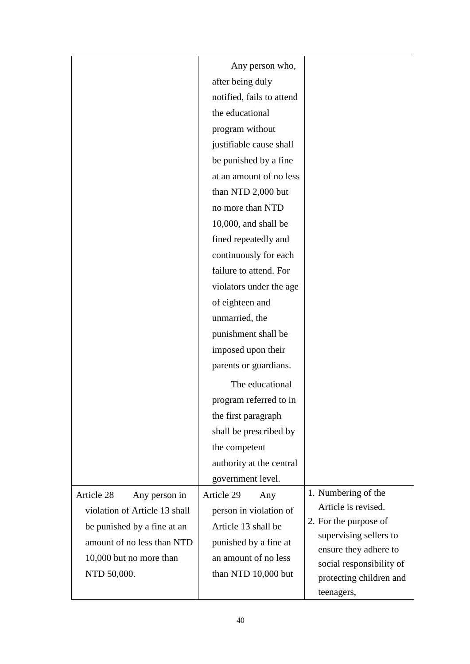|                               | Any person who,           |                                                 |
|-------------------------------|---------------------------|-------------------------------------------------|
|                               | after being duly          |                                                 |
|                               | notified, fails to attend |                                                 |
|                               | the educational           |                                                 |
|                               | program without           |                                                 |
|                               | justifiable cause shall   |                                                 |
|                               | be punished by a fine     |                                                 |
|                               | at an amount of no less   |                                                 |
|                               | than NTD 2,000 but        |                                                 |
|                               | no more than NTD          |                                                 |
|                               | $10,000$ , and shall be   |                                                 |
|                               | fined repeatedly and      |                                                 |
|                               | continuously for each     |                                                 |
|                               | failure to attend. For    |                                                 |
|                               | violators under the age   |                                                 |
|                               | of eighteen and           |                                                 |
|                               | unmarried, the            |                                                 |
|                               | punishment shall be       |                                                 |
|                               | imposed upon their        |                                                 |
|                               | parents or guardians.     |                                                 |
|                               | The educational           |                                                 |
|                               | program referred to in    |                                                 |
|                               | the first paragraph       |                                                 |
|                               | shall be prescribed by    |                                                 |
|                               | the competent             |                                                 |
|                               | authority at the central  |                                                 |
|                               | government level.         |                                                 |
| Article 28<br>Any person in   | Article 29<br>Any         | 1. Numbering of the                             |
| violation of Article 13 shall | person in violation of    | Article is revised.                             |
| be punished by a fine at an   | Article 13 shall be       | 2. For the purpose of                           |
| amount of no less than NTD    | punished by a fine at     | supervising sellers to<br>ensure they adhere to |
| 10,000 but no more than       | an amount of no less      | social responsibility of                        |
| NTD 50,000.                   | than NTD 10,000 but       | protecting children and                         |
|                               |                           | teenagers,                                      |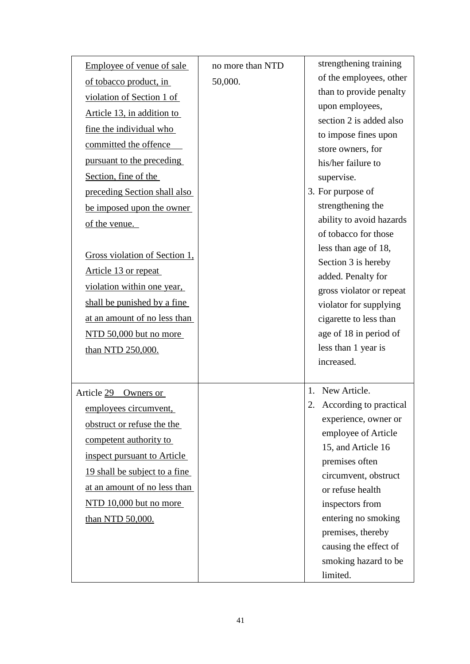| Employee of venue of sale     | no more than NTD | strengthening training                      |
|-------------------------------|------------------|---------------------------------------------|
| of tobacco product, in        | 50,000.          | of the employees, other                     |
| violation of Section 1 of     |                  | than to provide penalty                     |
| Article 13, in addition to    |                  | upon employees,                             |
| fine the individual who       |                  | section 2 is added also                     |
| committed the offence         |                  | to impose fines upon                        |
| pursuant to the preceding     |                  | store owners, for                           |
| Section, fine of the          |                  | his/her failure to                          |
|                               |                  | supervise.                                  |
| preceding Section shall also  |                  | 3. For purpose of<br>strengthening the      |
| be imposed upon the owner     |                  | ability to avoid hazards                    |
| of the venue.                 |                  | of tobacco for those                        |
|                               |                  | less than age of 18,                        |
| Gross violation of Section 1, |                  | Section 3 is hereby                         |
| Article 13 or repeat          |                  | added. Penalty for                          |
| violation within one year,    |                  | gross violator or repeat                    |
| shall be punished by a fine   |                  | violator for supplying                      |
| at an amount of no less than  |                  | cigarette to less than                      |
| NTD 50,000 but no more        |                  | age of 18 in period of                      |
| than NTD 250,000.             |                  | less than 1 year is                         |
|                               |                  | increased.                                  |
|                               |                  |                                             |
| Article 29 Owners or          |                  | New Article.<br>1.                          |
| employees circumvent,         |                  | 2.<br>According to practical                |
| obstruct or refuse the the    |                  | experience, owner or<br>employee of Article |
| competent authority to        |                  | 15, and Article 16                          |
| inspect pursuant to Article   |                  | premises often                              |
| 19 shall be subject to a fine |                  | circumvent, obstruct                        |
| at an amount of no less than  |                  | or refuse health                            |
| NTD 10,000 but no more        |                  | inspectors from                             |
| than NTD 50,000.              |                  | entering no smoking                         |
|                               |                  | premises, thereby                           |
|                               |                  | causing the effect of                       |
|                               |                  | smoking hazard to be                        |
|                               |                  | limited.                                    |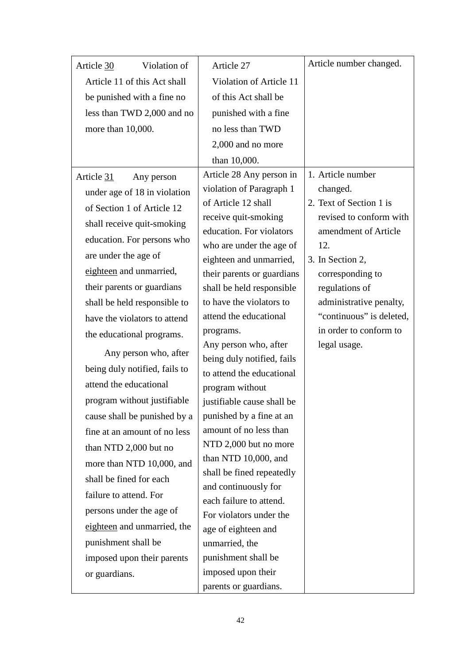| Article 30             | Violation of                  | Article 27                                         | Article number changed.                             |
|------------------------|-------------------------------|----------------------------------------------------|-----------------------------------------------------|
|                        | Article 11 of this Act shall  | Violation of Article 11                            |                                                     |
|                        | be punished with a fine no    | of this Act shall be                               |                                                     |
|                        | less than TWD 2,000 and no    | punished with a fine                               |                                                     |
| more than 10,000.      |                               | no less than TWD                                   |                                                     |
|                        |                               | 2,000 and no more                                  |                                                     |
|                        |                               | than 10,000.                                       |                                                     |
| Article 31             | Any person                    | Article 28 Any person in                           | 1. Article number                                   |
|                        | under age of 18 in violation  | violation of Paragraph 1                           | changed.                                            |
|                        | of Section 1 of Article 12    | of Article 12 shall                                | 2. Text of Section 1 is                             |
|                        | shall receive quit-smoking    | receive quit-smoking                               | revised to conform with                             |
|                        | education. For persons who    | education. For violators                           | amendment of Article                                |
| are under the age of   |                               | who are under the age of                           | 12.                                                 |
|                        | eighteen and unmarried,       | eighteen and unmarried,                            | 3. In Section 2,                                    |
|                        |                               | their parents or guardians                         | corresponding to                                    |
|                        | their parents or guardians    | shall be held responsible                          | regulations of                                      |
|                        | shall be held responsible to  | to have the violators to<br>attend the educational | administrative penalty,<br>"continuous" is deleted, |
|                        | have the violators to attend  |                                                    | in order to conform to                              |
|                        | the educational programs.     | programs.<br>Any person who, after                 | legal usage.                                        |
|                        | Any person who, after         | being duly notified, fails                         |                                                     |
|                        | being duly notified, fails to | to attend the educational                          |                                                     |
| attend the educational |                               | program without                                    |                                                     |
|                        | program without justifiable   | justifiable cause shall be                         |                                                     |
|                        | cause shall be punished by a  | punished by a fine at an                           |                                                     |
|                        | fine at an amount of no less  | amount of no less than                             |                                                     |
|                        | than NTD 2,000 but no         | NTD 2,000 but no more                              |                                                     |
|                        | more than NTD 10,000, and     | than NTD 10,000, and                               |                                                     |
|                        | shall be fined for each       | shall be fined repeatedly                          |                                                     |
| failure to attend. For |                               | and continuously for                               |                                                     |
|                        | persons under the age of      | each failure to attend.                            |                                                     |
|                        | eighteen and unmarried, the   | For violators under the                            |                                                     |
| punishment shall be    |                               | age of eighteen and                                |                                                     |
|                        |                               | unmarried, the                                     |                                                     |
|                        | imposed upon their parents    | punishment shall be<br>imposed upon their          |                                                     |
| or guardians.          |                               | parents or guardians.                              |                                                     |
|                        |                               |                                                    |                                                     |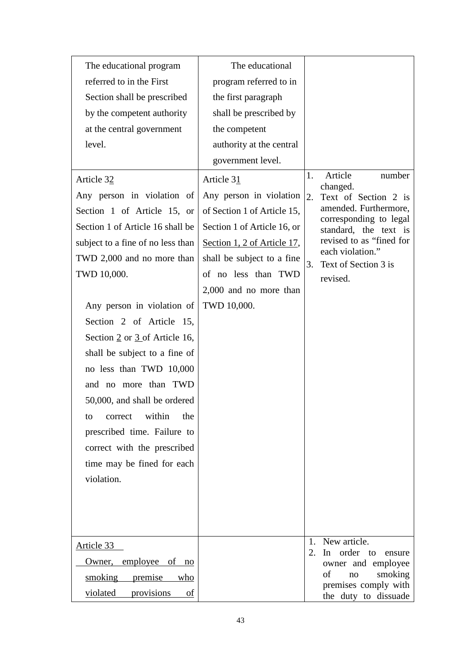| The educational program                                                 | The educational                                                      |                      |                                                                                                          |
|-------------------------------------------------------------------------|----------------------------------------------------------------------|----------------------|----------------------------------------------------------------------------------------------------------|
| referred to in the First                                                | program referred to in                                               |                      |                                                                                                          |
| Section shall be prescribed                                             | the first paragraph                                                  |                      |                                                                                                          |
| by the competent authority                                              | shall be prescribed by                                               |                      |                                                                                                          |
| at the central government                                               | the competent                                                        |                      |                                                                                                          |
| level.                                                                  | authority at the central                                             |                      |                                                                                                          |
|                                                                         | government level.                                                    |                      |                                                                                                          |
| Article 32<br>Any person in violation of<br>Section 1 of Article 15, or | Article 31<br>Any person in violation<br>of Section 1 of Article 15, | 1.<br>2.             | Article<br>number<br>changed.<br>Text of Section 2 is<br>amended. Furthermore,<br>corresponding to legal |
| Section 1 of Article 16 shall be                                        | Section 1 of Article 16, or                                          |                      | standard, the text is                                                                                    |
| subject to a fine of no less than                                       | Section 1, 2 of Article 17,                                          |                      | revised to as "fined for<br>each violation."                                                             |
| TWD 2,000 and no more than                                              | shall be subject to a fine                                           | 3.                   | Text of Section 3 is                                                                                     |
| TWD 10,000.                                                             | of no less than TWD                                                  |                      | revised.                                                                                                 |
|                                                                         | 2,000 and no more than                                               |                      |                                                                                                          |
| Any person in violation of                                              | TWD 10,000.                                                          |                      |                                                                                                          |
| Section 2 of Article 15,                                                |                                                                      |                      |                                                                                                          |
| Section $2$ or $3$ of Article 16,                                       |                                                                      |                      |                                                                                                          |
| shall be subject to a fine of                                           |                                                                      |                      |                                                                                                          |
| no less than TWD 10,000                                                 |                                                                      |                      |                                                                                                          |
| and no more than TWD                                                    |                                                                      |                      |                                                                                                          |
| 50,000, and shall be ordered                                            |                                                                      |                      |                                                                                                          |
| within<br>the<br>correct<br>to                                          |                                                                      |                      |                                                                                                          |
| prescribed time. Failure to                                             |                                                                      |                      |                                                                                                          |
| correct with the prescribed                                             |                                                                      |                      |                                                                                                          |
| time may be fined for each                                              |                                                                      |                      |                                                                                                          |
| violation.                                                              |                                                                      |                      |                                                                                                          |
|                                                                         |                                                                      |                      |                                                                                                          |
|                                                                         |                                                                      |                      |                                                                                                          |
|                                                                         |                                                                      |                      |                                                                                                          |
| Article 33                                                              |                                                                      | $\mathbf{1}$ .<br>2. | New article.<br>In order to<br>ensure                                                                    |
| Owner, employee of no                                                   |                                                                      |                      | owner and employee                                                                                       |
| smoking<br>premise<br>who                                               |                                                                      |                      | of<br>smoking<br>no<br>premises comply with                                                              |
| violated<br>provisions<br>οf                                            |                                                                      |                      | the duty to dissuade                                                                                     |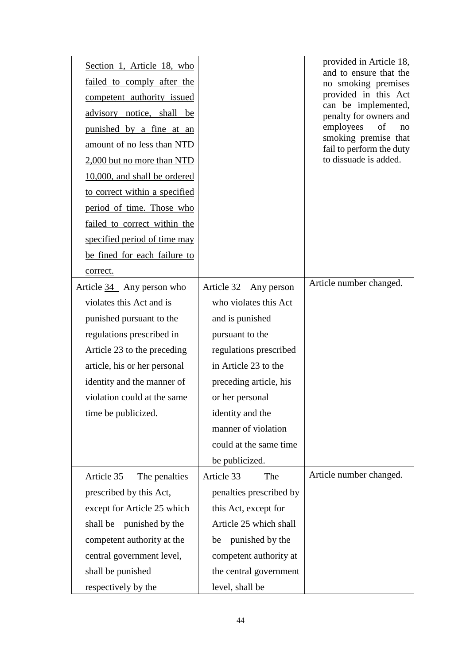| Section 1, Article 18, who<br>failed to comply after the<br>competent authority issued<br>advisory notice, shall be<br>punished by a fine at an<br>amount of no less than NTD<br>2,000 but no more than NTD<br>10,000, and shall be ordered<br>to correct within a specified<br>period of time. Those who<br>failed to correct within the<br>specified period of time may<br>be fined for each failure to<br>correct. |                         | provided in Article 18,<br>and to ensure that the<br>no smoking premises<br>provided in this Act<br>can be implemented,<br>penalty for owners and<br>employees<br>of<br>no<br>smoking premise that<br>fail to perform the duty<br>to dissuade is added. |
|-----------------------------------------------------------------------------------------------------------------------------------------------------------------------------------------------------------------------------------------------------------------------------------------------------------------------------------------------------------------------------------------------------------------------|-------------------------|---------------------------------------------------------------------------------------------------------------------------------------------------------------------------------------------------------------------------------------------------------|
| Article 34 Any person who                                                                                                                                                                                                                                                                                                                                                                                             | Article 32 Any person   | Article number changed.                                                                                                                                                                                                                                 |
| violates this Act and is                                                                                                                                                                                                                                                                                                                                                                                              | who violates this Act   |                                                                                                                                                                                                                                                         |
| punished pursuant to the                                                                                                                                                                                                                                                                                                                                                                                              | and is punished         |                                                                                                                                                                                                                                                         |
| regulations prescribed in                                                                                                                                                                                                                                                                                                                                                                                             | pursuant to the         |                                                                                                                                                                                                                                                         |
| Article 23 to the preceding                                                                                                                                                                                                                                                                                                                                                                                           | regulations prescribed  |                                                                                                                                                                                                                                                         |
| article, his or her personal                                                                                                                                                                                                                                                                                                                                                                                          | in Article 23 to the    |                                                                                                                                                                                                                                                         |
| identity and the manner of                                                                                                                                                                                                                                                                                                                                                                                            | preceding article, his  |                                                                                                                                                                                                                                                         |
| violation could at the same                                                                                                                                                                                                                                                                                                                                                                                           | or her personal         |                                                                                                                                                                                                                                                         |
| time be publicized.                                                                                                                                                                                                                                                                                                                                                                                                   | identity and the        |                                                                                                                                                                                                                                                         |
|                                                                                                                                                                                                                                                                                                                                                                                                                       | manner of violation     |                                                                                                                                                                                                                                                         |
|                                                                                                                                                                                                                                                                                                                                                                                                                       | could at the same time  |                                                                                                                                                                                                                                                         |
|                                                                                                                                                                                                                                                                                                                                                                                                                       | be publicized.          |                                                                                                                                                                                                                                                         |
| Article 35<br>The penalties                                                                                                                                                                                                                                                                                                                                                                                           | Article 33<br>The       | Article number changed.                                                                                                                                                                                                                                 |
| prescribed by this Act,                                                                                                                                                                                                                                                                                                                                                                                               | penalties prescribed by |                                                                                                                                                                                                                                                         |
| except for Article 25 which                                                                                                                                                                                                                                                                                                                                                                                           | this Act, except for    |                                                                                                                                                                                                                                                         |
| punished by the<br>shall be                                                                                                                                                                                                                                                                                                                                                                                           | Article 25 which shall  |                                                                                                                                                                                                                                                         |
| competent authority at the                                                                                                                                                                                                                                                                                                                                                                                            | punished by the<br>be   |                                                                                                                                                                                                                                                         |
| central government level,                                                                                                                                                                                                                                                                                                                                                                                             | competent authority at  |                                                                                                                                                                                                                                                         |
| shall be punished                                                                                                                                                                                                                                                                                                                                                                                                     | the central government  |                                                                                                                                                                                                                                                         |
| respectively by the                                                                                                                                                                                                                                                                                                                                                                                                   | level, shall be         |                                                                                                                                                                                                                                                         |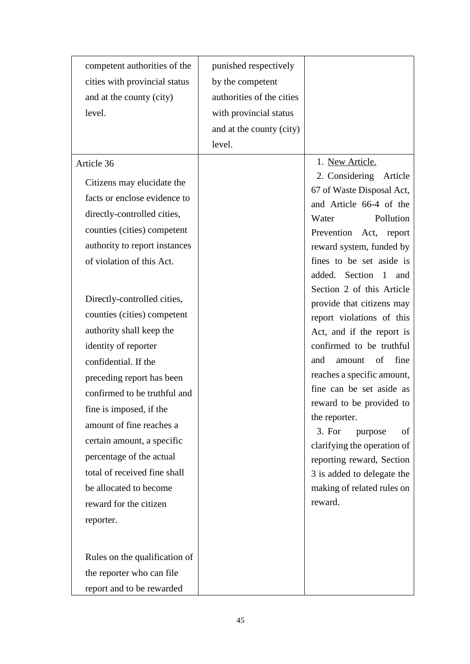| competent authorities of the  | punished respectively     |                                               |
|-------------------------------|---------------------------|-----------------------------------------------|
| cities with provincial status | by the competent          |                                               |
| and at the county (city)      | authorities of the cities |                                               |
| level.                        | with provincial status    |                                               |
|                               | and at the county (city)  |                                               |
|                               | level.                    |                                               |
| Article 36                    |                           | 1. New Article.                               |
| Citizens may elucidate the    |                           | 2. Considering Article                        |
| facts or enclose evidence to  |                           | 67 of Waste Disposal Act,                     |
| directly-controlled cities,   |                           | and Article 66-4 of the<br>Pollution<br>Water |
| counties (cities) competent   |                           | Prevention Act, report                        |
| authority to report instances |                           | reward system, funded by                      |
| of violation of this Act.     |                           | fines to be set aside is                      |
|                               |                           | added. Section 1<br>and                       |
|                               |                           | Section 2 of this Article                     |
| Directly-controlled cities,   |                           | provide that citizens may                     |
| counties (cities) competent   |                           | report violations of this                     |
| authority shall keep the      |                           | Act, and if the report is                     |
| identity of reporter          |                           | confirmed to be truthful<br>of<br>fine<br>and |
| confidential. If the          |                           | amount<br>reaches a specific amount,          |
| preceding report has been     |                           | fine can be set aside as                      |
| confirmed to be truthful and  |                           | reward to be provided to                      |
| fine is imposed, if the       |                           | the reporter.                                 |
| amount of fine reaches a      |                           | 3. For<br>of<br>purpose                       |
| certain amount, a specific    |                           | clarifying the operation of                   |
| percentage of the actual      |                           | reporting reward, Section                     |
| total of received fine shall  |                           | 3 is added to delegate the                    |
| be allocated to become        |                           | making of related rules on                    |
| reward for the citizen        |                           | reward.                                       |
| reporter.                     |                           |                                               |
|                               |                           |                                               |
| Rules on the qualification of |                           |                                               |
| the reporter who can file     |                           |                                               |
| report and to be rewarded     |                           |                                               |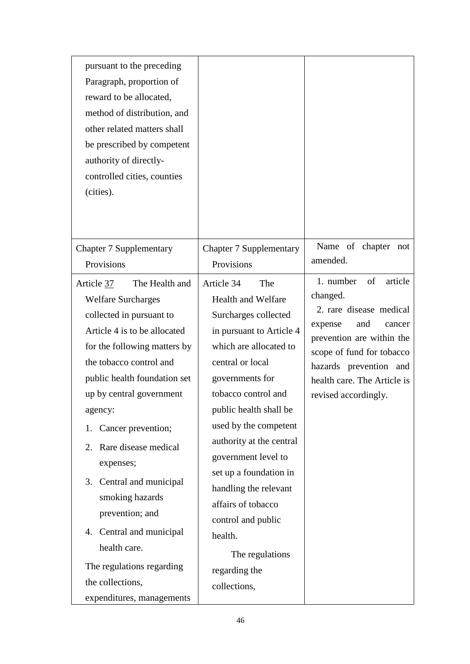| pursuant to the preceding<br>Paragraph, proportion of<br>reward to be allocated,<br>method of distribution, and<br>other related matters shall<br>be prescribed by competent<br>authority of directly-<br>controlled cities, counties<br>(cities). |                                |                                     |
|----------------------------------------------------------------------------------------------------------------------------------------------------------------------------------------------------------------------------------------------------|--------------------------------|-------------------------------------|
| <b>Chapter 7 Supplementary</b>                                                                                                                                                                                                                     | <b>Chapter 7 Supplementary</b> | Name of chapter not<br>amended.     |
| Provisions                                                                                                                                                                                                                                         | Provisions                     |                                     |
| Article 37<br>The Health and                                                                                                                                                                                                                       | Article 34<br>The              | 1. number<br>of<br>article          |
| <b>Welfare Surcharges</b>                                                                                                                                                                                                                          | <b>Health and Welfare</b>      | changed.<br>2. rare disease medical |
| collected in pursuant to                                                                                                                                                                                                                           | Surcharges collected           | and<br>expense<br>cancer            |
| Article 4 is to be allocated                                                                                                                                                                                                                       | in pursuant to Article 4       | prevention are within the           |
| for the following matters by                                                                                                                                                                                                                       | which are allocated to         | scope of fund for tobacco           |
| the tobacco control and                                                                                                                                                                                                                            | central or local               | hazards prevention and              |
| public health foundation set                                                                                                                                                                                                                       | governments for                | health care. The Article is         |
| up by central government                                                                                                                                                                                                                           | tobacco control and            | revised accordingly.                |
| agency:                                                                                                                                                                                                                                            | public health shall be         |                                     |
| Cancer prevention;<br>1.                                                                                                                                                                                                                           | used by the competent          |                                     |
| 2. Rare disease medical                                                                                                                                                                                                                            | authority at the central       |                                     |
| expenses;                                                                                                                                                                                                                                          | government level to            |                                     |
| 3. Central and municipal                                                                                                                                                                                                                           | set up a foundation in         |                                     |
|                                                                                                                                                                                                                                                    | handling the relevant          |                                     |
| smoking hazards                                                                                                                                                                                                                                    | affairs of tobacco             |                                     |
| prevention; and                                                                                                                                                                                                                                    | control and public             |                                     |
| 4. Central and municipal                                                                                                                                                                                                                           | health.                        |                                     |
| health care.                                                                                                                                                                                                                                       | The regulations                |                                     |
| The regulations regarding                                                                                                                                                                                                                          | regarding the                  |                                     |
| the collections,                                                                                                                                                                                                                                   | collections,                   |                                     |
| expenditures, managements                                                                                                                                                                                                                          |                                |                                     |